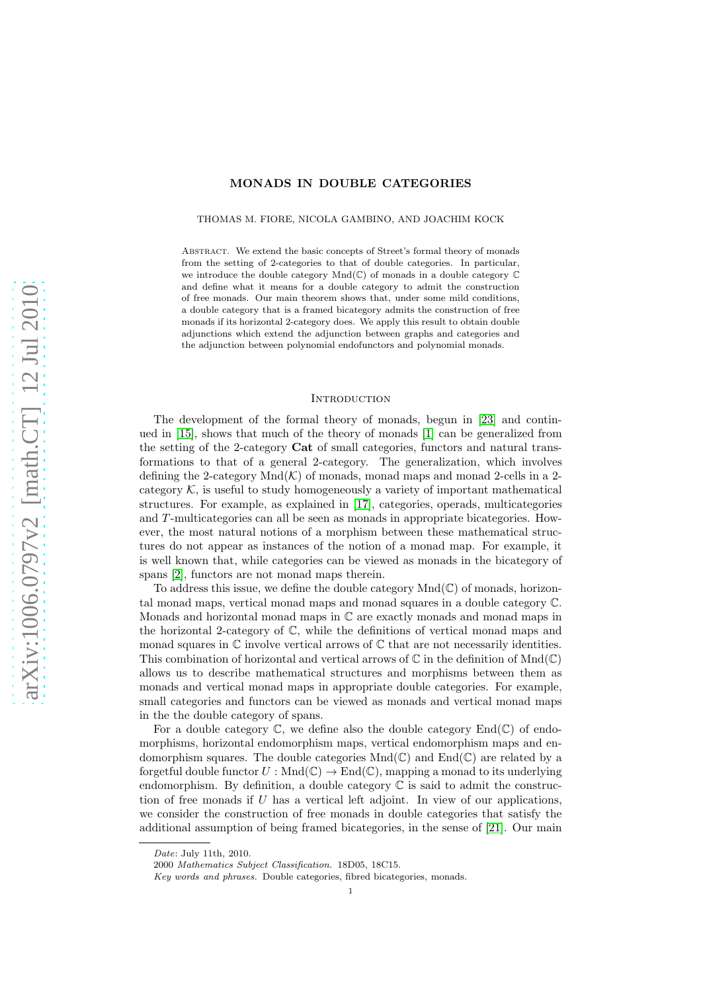## MONADS IN DOUBLE CATEGORIES

THOMAS M. FIORE, NICOLA GAMBINO, AND JOACHIM KOCK

ABSTRACT. We extend the basic concepts of Street's formal theory of monads from the setting of 2-categories to that of double categories. In particular, we introduce the double category Mnd(C) of monads in a double category C and define what it means for a double category to admit the construction of free monads. Our main theorem shows that, under some mild conditions, a double category that is a framed bicategory admits the construction of free monads if its horizontal 2-category does. We apply this result to obtain double adjunctions which extend the adjunction between graphs and categories and the adjunction between polynomial endofunctors and polynomial monads.

#### **INTRODUCTION**

The development of the formal theory of monads, begun in [\[23\]](#page-29-0) and continued in [\[15\]](#page-29-1), shows that much of the theory of monads [\[1\]](#page-29-2) can be generalized from the setting of the 2-category Cat of small categories, functors and natural transformations to that of a general 2-category. The generalization, which involves defining the 2-category  $Mnd(\mathcal{K})$  of monads, monad maps and monad 2-cells in a 2category  $K$ , is useful to study homogeneously a variety of important mathematical structures. For example, as explained in [\[17\]](#page-29-3), categories, operads, multicategories and T-multicategories can all be seen as monads in appropriate bicategories. However, the most natural notions of a morphism between these mathematical structures do not appear as instances of the notion of a monad map. For example, it is well known that, while categories can be viewed as monads in the bicategory of spans [\[2\]](#page-29-4), functors are not monad maps therein.

To address this issue, we define the double category  $Mnd(\mathbb{C})$  of monads, horizontal monad maps, vertical monad maps and monad squares in a double category C. Monads and horizontal monad maps in  $\mathbb C$  are exactly monads and monad maps in the horizontal 2-category of  $\mathbb{C}$ , while the definitions of vertical monad maps and monad squares in  $\mathbb C$  involve vertical arrows of  $\mathbb C$  that are not necessarily identities. This combination of horizontal and vertical arrows of  $\mathbb C$  in the definition of  $Mnd(\mathbb C)$ allows us to describe mathematical structures and morphisms between them as monads and vertical monad maps in appropriate double categories. For example, small categories and functors can be viewed as monads and vertical monad maps in the the double category of spans.

For a double category  $\mathbb{C}$ , we define also the double category  $\text{End}(\mathbb{C})$  of endomorphisms, horizontal endomorphism maps, vertical endomorphism maps and endomorphism squares. The double categories  $Mnd(\mathbb{C})$  and  $End(\mathbb{C})$  are related by a forgetful double functor  $U : \text{Mnd}(\mathbb{C}) \to \text{End}(\mathbb{C})$ , mapping a monad to its underlying endomorphism. By definition, a double category  $\mathbb C$  is said to admit the construction of free monads if  $U$  has a vertical left adjoint. In view of our applications, we consider the construction of free monads in double categories that satisfy the additional assumption of being framed bicategories, in the sense of [\[21\]](#page-29-5). Our main

Date: July 11th, 2010.

<sup>2000</sup> Mathematics Subject Classification. 18D05, 18C15.

Key words and phrases. Double categories, fibred bicategories, monads.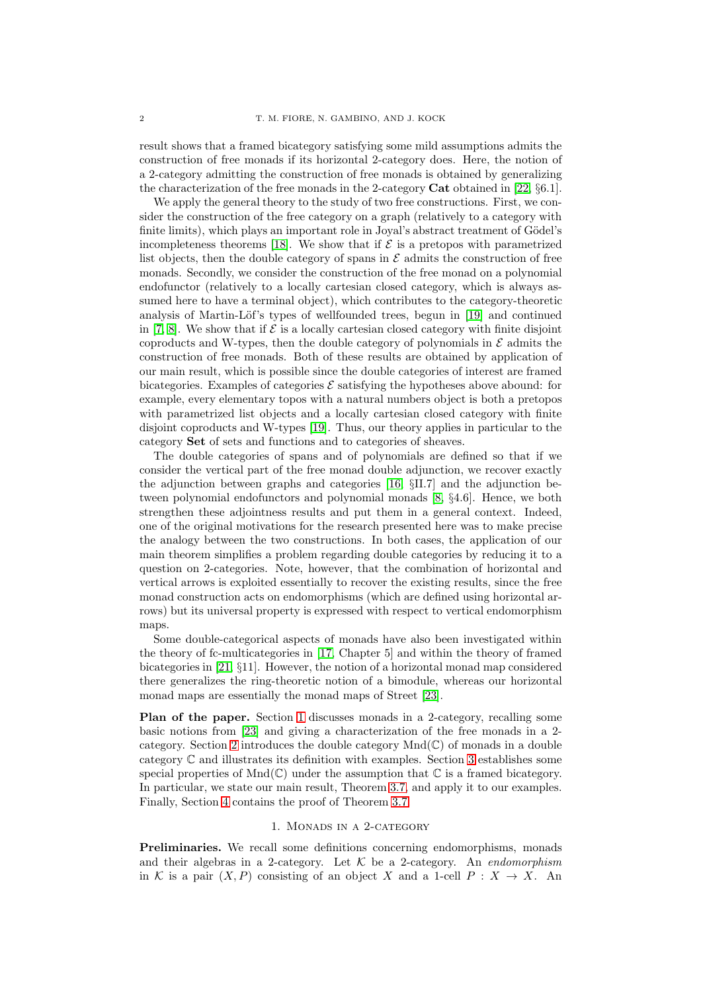result shows that a framed bicategory satisfying some mild assumptions admits the construction of free monads if its horizontal 2-category does. Here, the notion of a 2-category admitting the construction of free monads is obtained by generalizing the characterization of the free monads in the 2-category Cat obtained in [\[22,](#page-29-6) §6.1].

We apply the general theory to the study of two free constructions. First, we consider the construction of the free category on a graph (relatively to a category with finite limits), which plays an important role in Joyal's abstract treatment of Gödel's incompleteness theorems [\[18\]](#page-29-7). We show that if  $\mathcal E$  is a pretopos with parametrized list objects, then the double category of spans in  $\mathcal E$  admits the construction of free monads. Secondly, we consider the construction of the free monad on a polynomial endofunctor (relatively to a locally cartesian closed category, which is always assumed here to have a terminal object), which contributes to the category-theoretic analysis of Martin-Löf's types of wellfounded trees, begun in [\[19\]](#page-29-8) and continued in [\[7,](#page-29-9) [8\]](#page-29-10). We show that if  $\mathcal E$  is a locally cartesian closed category with finite disjoint coproducts and W-types, then the double category of polynomials in  $\mathcal E$  admits the construction of free monads. Both of these results are obtained by application of our main result, which is possible since the double categories of interest are framed bicategories. Examples of categories  $\mathcal E$  satisfying the hypotheses above abound: for example, every elementary topos with a natural numbers object is both a pretopos with parametrized list objects and a locally cartesian closed category with finite disjoint coproducts and W-types [\[19\]](#page-29-8). Thus, our theory applies in particular to the category Set of sets and functions and to categories of sheaves.

The double categories of spans and of polynomials are defined so that if we consider the vertical part of the free monad double adjunction, we recover exactly the adjunction between graphs and categories [\[16,](#page-29-11) §II.7] and the adjunction between polynomial endofunctors and polynomial monads [\[8,](#page-29-10) §4.6]. Hence, we both strengthen these adjointness results and put them in a general context. Indeed, one of the original motivations for the research presented here was to make precise the analogy between the two constructions. In both cases, the application of our main theorem simplifies a problem regarding double categories by reducing it to a question on 2-categories. Note, however, that the combination of horizontal and vertical arrows is exploited essentially to recover the existing results, since the free monad construction acts on endomorphisms (which are defined using horizontal arrows) but its universal property is expressed with respect to vertical endomorphism maps.

Some double-categorical aspects of monads have also been investigated within the theory of fc-multicategories in [\[17,](#page-29-3) Chapter 5] and within the theory of framed bicategories in [\[21,](#page-29-5) §11]. However, the notion of a horizontal monad map considered there generalizes the ring-theoretic notion of a bimodule, whereas our horizontal monad maps are essentially the monad maps of Street [\[23\]](#page-29-0).

Plan of the paper. Section [1](#page-1-0) discusses monads in a 2-category, recalling some basic notions from [\[23\]](#page-29-0) and giving a characterization of the free monads in a 2- category. Section [2](#page-7-0) introduces the double category  $Mnd(\mathbb{C})$  of monads in a double category C and illustrates its definition with examples. Section [3](#page-14-0) establishes some special properties of  $Mnd(\mathbb{C})$  under the assumption that  $\mathbb C$  is a framed bicategory. In particular, we state our main result, Theorem [3.7,](#page-19-0) and apply it to our examples. Finally, Section [4](#page-19-1) contains the proof of Theorem [3.7.](#page-19-0)

### 1. Monads in a 2-category

<span id="page-1-0"></span>Preliminaries. We recall some definitions concerning endomorphisms, monads and their algebras in a 2-category. Let K be a 2-category. An *endomorphism* in K is a pair  $(X, P)$  consisting of an object X and a 1-cell  $P: X \to X$ . An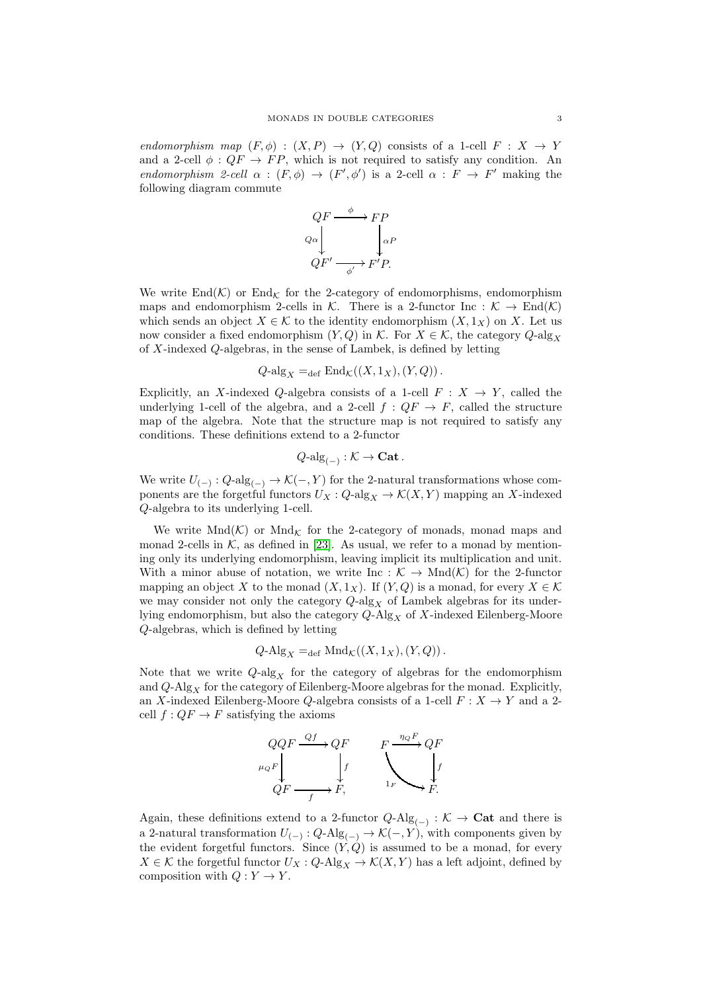*endomorphism map*  $(F, \phi) : (X, P) \rightarrow (Y, Q)$  consists of a 1-cell  $F : X \rightarrow Y$ and a 2-cell  $\phi$ :  $QF \rightarrow FP$ , which is not required to satisfy any condition. An *endomorphism 2-cell*  $\alpha : (F, \phi) \rightarrow (F', \phi')$  is a 2-cell  $\alpha : F \rightarrow F'$  making the following diagram commute



We write  $\text{End}(\mathcal{K})$  or  $\text{End}_{\mathcal{K}}$  for the 2-category of endomorphisms, endomorphism maps and endomorphism 2-cells in K. There is a 2-functor Inc :  $K \to \text{End}(\mathcal{K})$ which sends an object  $X \in \mathcal{K}$  to the identity endomorphism  $(X, 1_X)$  on X. Let us now consider a fixed endomorphism  $(Y,Q)$  in K. For  $X \in \mathcal{K}$ , the category  $Q$ -alg<sub>X</sub> of X-indexed Q-algebras, in the sense of Lambek, is defined by letting

$$
Q\text{-alg}_X =_{\text{def}} \text{End}_{\mathcal{K}}((X, 1_X), (Y, Q)).
$$

Explicitly, an X-indexed Q-algebra consists of a 1-cell  $F : X \to Y$ , called the underlying 1-cell of the algebra, and a 2-cell  $f: QF \to F$ , called the structure map of the algebra. Note that the structure map is not required to satisfy any conditions. These definitions extend to a 2-functor

$$
Q\text{-alg}_{(-)} : \mathcal{K} \to \mathbf{Cat}.
$$

We write  $U_{(-)}: Q\text{-alg}_{(-)} \to \mathcal{K}(-, Y)$  for the 2-natural transformations whose components are the forgetful functors  $U_X: Q\text{-alg}_X \to \mathcal{K}(X, Y)$  mapping an X-indexed Q-algebra to its underlying 1-cell.

We write  $\text{Mnd}(\mathcal{K})$  or  $\text{Mnd}_{\mathcal{K}}$  for the 2-category of monads, monad maps and monad 2-cells in  $K$ , as defined in [\[23\]](#page-29-0). As usual, we refer to a monad by mentioning only its underlying endomorphism, leaving implicit its multiplication and unit. With a minor abuse of notation, we write Inc :  $K \to \text{Mnd}(\mathcal{K})$  for the 2-functor mapping an object X to the monad  $(X, 1_X)$ . If  $(Y, Q)$  is a monad, for every  $X \in \mathcal{K}$ we may consider not only the category  $Q$ -alg<sub>X</sub> of Lambek algebras for its underlying endomorphism, but also the category  $Q$ -Alg<sub>X</sub> of X-indexed Eilenberg-Moore Q-algebras, which is defined by letting

$$
Q\text{-Alg}_X =_{\text{def}} \text{Mnd}_{\mathcal{K}}((X, 1_X), (Y, Q)).
$$

Note that we write  $Q\text{-alg}_X$  for the category of algebras for the endomorphism and  $Q$ -Alg<sub>X</sub> for the category of Eilenberg-Moore algebras for the monad. Explicitly, an X-indexed Eilenberg-Moore Q-algebra consists of a 1-cell  $F: X \rightarrow Y$  and a 2cell  $f: QF \to F$  satisfying the axioms



Again, these definitions extend to a 2-functor  $Q$ -Alg<sub>(−)</sub> :  $K \to \mathbf{Cat}$  and there is a 2-natural transformation  $U_{(-)}: Q\text{-Alg}_{(-)} \to \mathcal{K}(-, Y)$ , with components given by the evident forgetful functors. Since  $(Y, Q)$  is assumed to be a monad, for every  $X \in \mathcal{K}$  the forgetful functor  $U_X: Q\text{-Alg}_X \to \mathcal{K}(X, Y)$  has a left adjoint, defined by composition with  $Q: Y \to Y$ .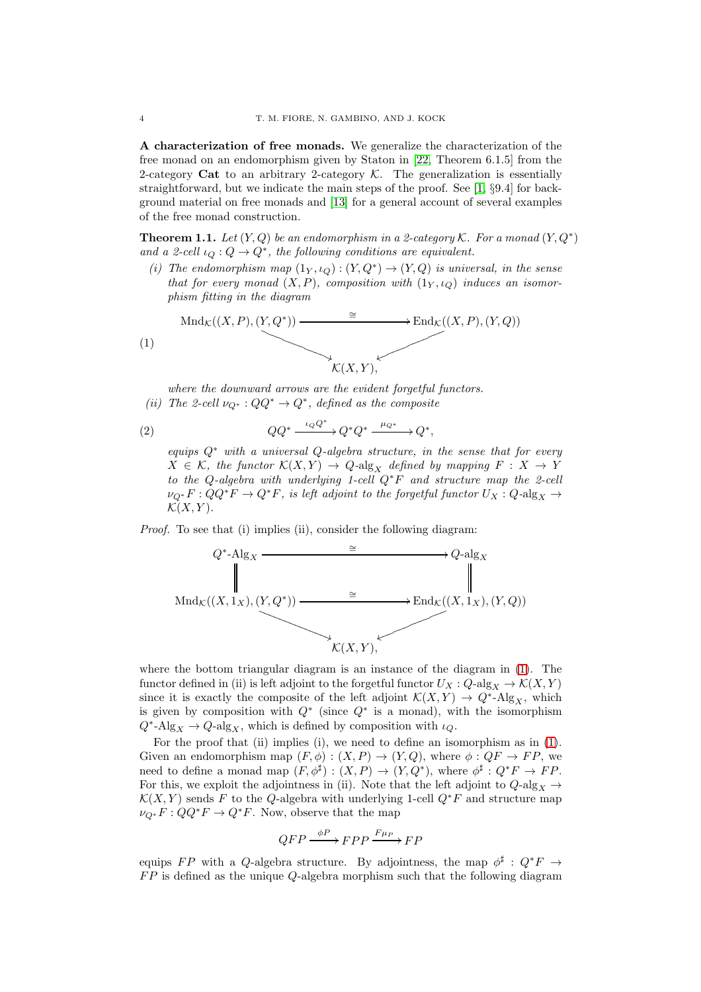A characterization of free monads. We generalize the characterization of the free monad on an endomorphism given by Staton in [\[22,](#page-29-6) Theorem 6.1.5] from the 2-category Cat to an arbitrary 2-category  $K$ . The generalization is essentially straightforward, but we indicate the main steps of the proof. See [\[1,](#page-29-2) §9.4] for background material on free monads and [\[13\]](#page-29-12) for a general account of several examples of the free monad construction.

<span id="page-3-1"></span>**Theorem 1.1.** Let  $(Y, Q)$  be an endomorphism in a 2-category K. For a monad  $(Y, Q^*)$ and a 2-cell  $\iota_Q: Q \to Q^*$ , the following conditions are equivalent.

(*i*) The endomorphism map  $(1_Y, \iota_Q) : (Y, Q^*) \to (Y, Q)$  is universal, in the sense *that for every monad*  $(X, P)$ *, composition with*  $(1_Y, \iota_Q)$  *induces an isomorphism fitting in the diagram*

<span id="page-3-0"></span>
$$
\text{Mnd}_{\mathcal{K}}((X,P),(Y,Q^*)) \xrightarrow{\cong} \text{End}_{\mathcal{K}}((X,P),(Y,Q))
$$
\n
$$
\downarrow^{\mathcal{K}}((X,Y),\downarrow^{\mathcal{K}}((X,P), (Y,Q)))
$$

*where the downward arrows are the evident forgetful functors. (ii)* The 2-cell  $\nu_{Q^*}: QQ^* \to Q^*$ , defined as the composite

(2) 
$$
QQ^* \xrightarrow{\iota_Q Q^*} Q^* Q^* \xrightarrow{\mu_{Q^*}} Q^*,
$$

<span id="page-3-2"></span>*equips* Q<sup>∗</sup> *with a universal* Q*-algebra structure, in the sense that for every*  $X \in \mathcal{K}$ , the functor  $\mathcal{K}(X, Y) \to Q$ -alg<sub>X</sub> defined by mapping  $F : X \to Y$ *to the* Q*-algebra with underlying 1-cell* Q<sup>∗</sup>F *and structure map the 2-cell*  $\nu_{Q^*} F: QQ^*F \to Q^*F$ , is left adjoint to the forgetful functor  $U_X: Q\text{-alg}_X \to$  $\mathcal{K}(X, Y)$ .

*Proof.* To see that (i) implies (ii), consider the following diagram:



where the bottom triangular diagram is an instance of the diagram in [\(1\)](#page-3-0). The functor defined in (ii) is left adjoint to the forgetful functor  $U_X : Q\text{-alg}_X \to \mathcal{K}(X, Y)$ since it is exactly the composite of the left adjoint  $\mathcal{K}(X,Y) \to Q^*$ -Alg<sub>X</sub>, which is given by composition with  $Q^*$  (since  $Q^*$  is a monad), with the isomorphism  $Q^*$ -Alg<sub>X</sub>  $\rightarrow Q$ -alg<sub>X</sub>, which is defined by composition with  $\iota_Q$ .

For the proof that (ii) implies (i), we need to define an isomorphism as in [\(1\)](#page-3-0). Given an endomorphism map  $(F, \phi) : (X, P) \to (Y, Q)$ , where  $\phi : QF \to FP$ , we need to define a monad map  $(F, \phi^{\sharp}) : (X, P) \to (Y, Q^*)$ , where  $\phi^{\sharp} : Q^*F \to FP$ . For this, we exploit the adjointness in (ii). Note that the left adjoint to  $Q\text{-alg}_X \rightarrow$  $\mathcal{K}(X, Y)$  sends F to the Q-algebra with underlying 1-cell  $Q^*F$  and structure map  $\nu_{Q^*} F : QQ^* F \to Q^* F$ . Now, observe that the map

$$
QFP \xrightarrow{\phi P} FPP \xrightarrow{F\mu_P} FP
$$

equips FP with a Q-algebra structure. By adjointness, the map  $\phi^{\sharp}$  :  $Q^*F \to$  $FP$  is defined as the unique Q-algebra morphism such that the following diagram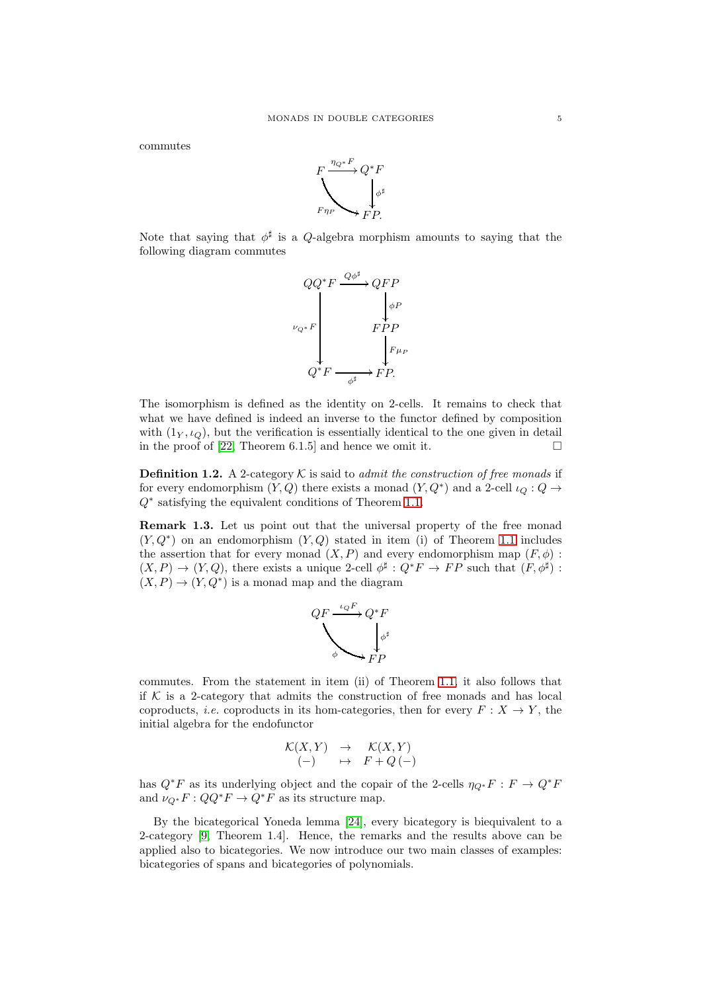commutes



Note that saying that  $\phi^{\sharp}$  is a Q-algebra morphism amounts to saying that the following diagram commutes



The isomorphism is defined as the identity on 2-cells. It remains to check that what we have defined is indeed an inverse to the functor defined by composition with  $(1_Y, \iota_Q)$ , but the verification is essentially identical to the one given in detail in the proof of [\[22,](#page-29-6) Theorem 6.1.5] and hence we omit it.  $\square$ 

**Definition 1.2.** A 2-category  $K$  is said to *admit the construction of free monads* if for every endomorphism  $(Y, Q)$  there exists a monad  $(Y, Q^*)$  and a 2-cell  $\iota_Q : Q \to$ Q<sup>∗</sup> satisfying the equivalent conditions of Theorem [1.1.](#page-3-1)

<span id="page-4-0"></span>Remark 1.3. Let us point out that the universal property of the free monad  $(Y, Q^*)$  on an endomorphism  $(Y, Q)$  stated in item (i) of Theorem [1.1](#page-3-1) includes the assertion that for every monad  $(X, P)$  and every endomorphism map  $(F, \phi)$ :  $(X, P) \to (Y, Q)$ , there exists a unique 2-cell  $\phi^{\sharp}: Q^*F \to FP$  such that  $(F, \phi^{\sharp})$ :  $(X, P) \to (Y, Q^*)$  is a monad map and the diagram



commutes. From the statement in item (ii) of Theorem [1.1,](#page-3-1) it also follows that if  $K$  is a 2-category that admits the construction of free monads and has local coproducts, *i.e.* coproducts in its hom-categories, then for every  $F: X \to Y$ , the initial algebra for the endofunctor

$$
\begin{array}{rcl} \mathcal{K}(X,Y) & \rightarrow & \mathcal{K}(X,Y) \\ \text{(--)} & \mapsto & F + Q \text{(-)} \end{array}
$$

has  $Q^*F$  as its underlying object and the copair of the 2-cells  $\eta_{Q^*}F : F \to Q^*F$ and  $\nu_{Q^*} F : QQ^*F \to Q^*F$  as its structure map.

By the bicategorical Yoneda lemma [\[24\]](#page-29-13), every bicategory is biequivalent to a 2-category [\[9,](#page-29-14) Theorem 1.4]. Hence, the remarks and the results above can be applied also to bicategories. We now introduce our two main classes of examples: bicategories of spans and bicategories of polynomials.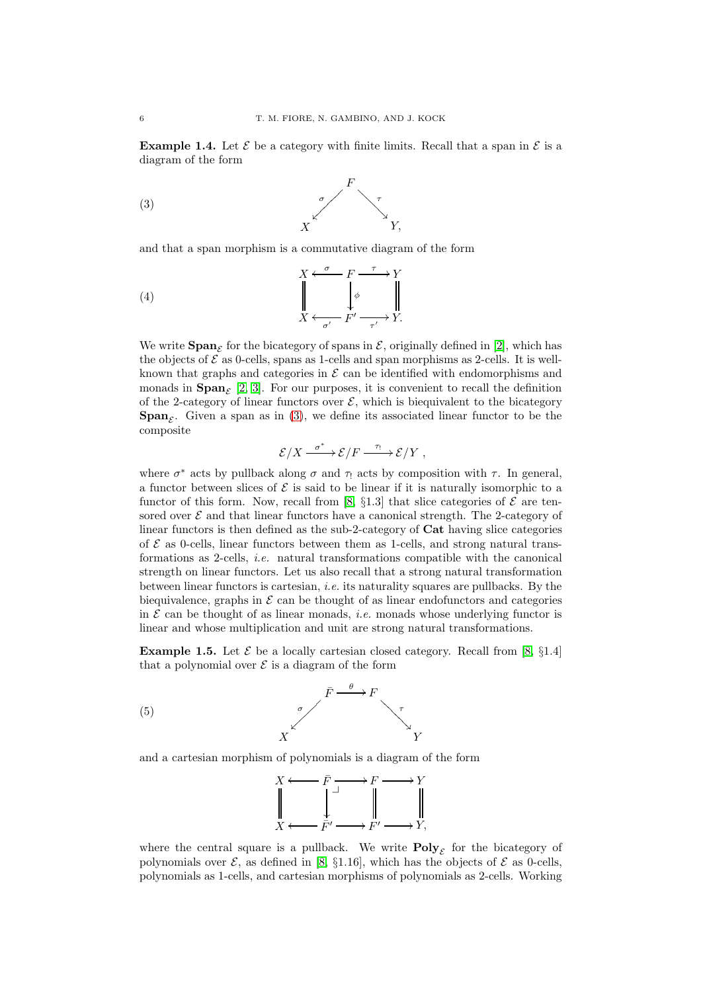<span id="page-5-2"></span>**Example 1.4.** Let  $\mathcal{E}$  be a category with finite limits. Recall that a span in  $\mathcal{E}$  is a diagram of the form



<span id="page-5-0"></span>and that a span morphism is a commutative diagram of the form

(4) 
$$
\begin{array}{ccc}\n & X \xleftarrow{\sigma} & F \xrightarrow{\tau} Y \\
 & \downarrow{\phi} & \downarrow{\phi} \\
 & X \xleftarrow{\sigma'} & F' \xrightarrow{\tau'} Y.\n\end{array}
$$

We write  $\text{Span}_{\mathcal{E}}$  for the bicategory of spans in  $\mathcal{E}$ , originally defined in [\[2\]](#page-29-4), which has the objects of  $\mathcal E$  as 0-cells, spans as 1-cells and span morphisms as 2-cells. It is wellknown that graphs and categories in  $\mathcal E$  can be identified with endomorphisms and monads in  $\text{Span}_{\mathcal{E}}$  [\[2,](#page-29-4) [3\]](#page-29-15). For our purposes, it is convenient to recall the definition of the 2-category of linear functors over  $\mathcal{E}$ , which is biequivalent to the bicategory **Span**<sub>E</sub>. Given a span as in [\(3\)](#page-5-0), we define its associated linear functor to be the composite

$$
\mathcal{E}/X \xrightarrow{\sigma^*} \mathcal{E}/F \xrightarrow{\tau_!} \mathcal{E}/Y ,
$$

where  $\sigma^*$  acts by pullback along  $\sigma$  and  $\tau$  acts by composition with  $\tau$ . In general, a functor between slices of  $\mathcal E$  is said to be linear if it is naturally isomorphic to a functor of this form. Now, recall from [\[8,](#page-29-10)  $\S1.3$ ] that slice categories of  $\mathcal E$  are tensored over  $\mathcal E$  and that linear functors have a canonical strength. The 2-category of linear functors is then defined as the sub-2-category of Cat having slice categories of  $\mathcal E$  as 0-cells, linear functors between them as 1-cells, and strong natural transformations as 2-cells, *i.e.* natural transformations compatible with the canonical strength on linear functors. Let us also recall that a strong natural transformation between linear functors is cartesian, *i.e.* its naturality squares are pullbacks. By the biequivalence, graphs in  $\mathcal E$  can be thought of as linear endofunctors and categories in  $\mathcal E$  can be thought of as linear monads, *i.e.* monads whose underlying functor is linear and whose multiplication and unit are strong natural transformations.

<span id="page-5-3"></span>**Example 1.5.** Let  $\mathcal{E}$  be a locally cartesian closed category. Recall from [\[8,](#page-29-10) §1.4] that a polynomial over  $\mathcal E$  is a diagram of the form



and a cartesian morphism of polynomials is a diagram of the form

<span id="page-5-1"></span>

where the central square is a pullback. We write  $\text{Poly}_{\mathcal{E}}$  for the bicategory of polynomials over  $\mathcal{E}$ , as defined in [\[8,](#page-29-10) §1.16], which has the objects of  $\mathcal{E}$  as 0-cells, polynomials as 1-cells, and cartesian morphisms of polynomials as 2-cells. Working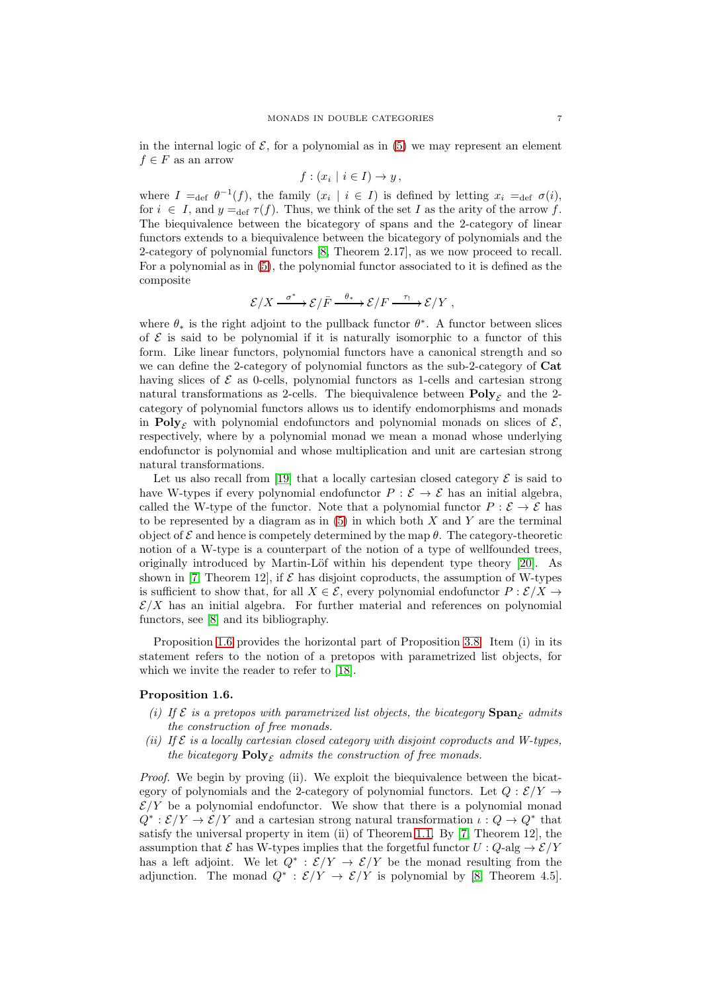in the internal logic of  $\mathcal{E}$ , for a polynomial as in [\(5\)](#page-5-1) we may represent an element  $f \in F$  as an arrow

$$
f:(x_i \mid i \in I) \to y\,,
$$

where  $I =_{def} \theta^{-1}(f)$ , the family  $(x_i | i \in I)$  is defined by letting  $x_i =_{def} \sigma(i)$ , for  $i \in I$ , and  $y =_{def} \tau(f)$ . Thus, we think of the set I as the arity of the arrow f. The biequivalence between the bicategory of spans and the 2-category of linear functors extends to a biequivalence between the bicategory of polynomials and the 2-category of polynomial functors [\[8,](#page-29-10) Theorem 2.17], as we now proceed to recall. For a polynomial as in [\(5\)](#page-5-1), the polynomial functor associated to it is defined as the composite

$$
\mathcal{E}/X \xrightarrow{\sigma^*} \mathcal{E}/\bar{F} \xrightarrow{\theta_*} \mathcal{E}/F \xrightarrow{\tau_!} \mathcal{E}/Y ,
$$

where  $\theta_*$  is the right adjoint to the pullback functor  $\theta^*$ . A functor between slices of  $\mathcal E$  is said to be polynomial if it is naturally isomorphic to a functor of this form. Like linear functors, polynomial functors have a canonical strength and so we can define the 2-category of polynomial functors as the sub-2-category of Cat having slices of  $\mathcal E$  as 0-cells, polynomial functors as 1-cells and cartesian strong natural transformations as 2-cells. The biequivalence between  $\text{Poly}_{\mathcal{E}}$  and the 2category of polynomial functors allows us to identify endomorphisms and monads in Poly<sub>c</sub> with polynomial endofunctors and polynomial monads on slices of  $\mathcal{E}$ , respectively, where by a polynomial monad we mean a monad whose underlying endofunctor is polynomial and whose multiplication and unit are cartesian strong natural transformations.

Let us also recall from [\[19\]](#page-29-8) that a locally cartesian closed category  $\mathcal E$  is said to have W-types if every polynomial endofunctor  $P : \mathcal{E} \to \mathcal{E}$  has an initial algebra, called the W-type of the functor. Note that a polynomial functor  $P : \mathcal{E} \to \mathcal{E}$  has to be represented by a diagram as in  $(5)$  in which both X and Y are the terminal object of  $\mathcal E$  and hence is competely determined by the map  $\theta$ . The category-theoretic notion of a W-type is a counterpart of the notion of a type of wellfounded trees, originally introduced by Martin-Löf within his dependent type theory  $[20]$ . As shown in [\[7,](#page-29-9) Theorem 12], if  $\mathcal E$  has disjoint coproducts, the assumption of W-types is sufficient to show that, for all  $X \in \mathcal{E}$ , every polynomial endofunctor  $P : \mathcal{E}/X \rightarrow$  $\mathcal{E}/X$  has an initial algebra. For further material and references on polynomial functors, see [\[8\]](#page-29-10) and its bibliography.

Proposition [1.6](#page-6-0) provides the horizontal part of Proposition [3.8.](#page-19-2) Item (i) in its statement refers to the notion of a pretopos with parametrized list objects, for which we invite the reader to refer to [\[18\]](#page-29-7).

## <span id="page-6-0"></span>Proposition 1.6.

- *(i) If*  $\mathcal{E}$  *is a pretopos with parametrized list objects, the bicategory*  $\mathbf{Span}_{\mathcal{E}}$  *admits the construction of free monads.*
- *(ii) If* E *is a locally cartesian closed category with disjoint coproducts and W-types, the bicategory*  $\text{Poly}_{\mathcal{F}}$  *admits the construction of free monads.*

*Proof.* We begin by proving (ii). We exploit the biequivalence between the bicategory of polynomials and the 2-category of polynomial functors. Let  $Q : \mathcal{E}/Y \rightarrow$  $\mathcal{E}/Y$  be a polynomial endofunctor. We show that there is a polynomial monad  $Q^*:\mathcal{E}/Y \to \mathcal{E}/Y$  and a cartesian strong natural transformation  $\iota: Q \to Q^*$  that satisfy the universal property in item (ii) of Theorem [1.1.](#page-3-1) By [\[7,](#page-29-9) Theorem 12], the assumption that  $\mathcal E$  has W-types implies that the forgetful functor  $U: Q$ -alg  $\rightarrow \mathcal E/Y$ has a left adjoint. We let  $Q^* : \mathcal{E}/Y \to \mathcal{E}/Y$  be the monad resulting from the adjunction. The monad  $Q^* : \mathcal{E}/Y \to \mathcal{E}/Y$  is polynomial by [\[8,](#page-29-10) Theorem 4.5].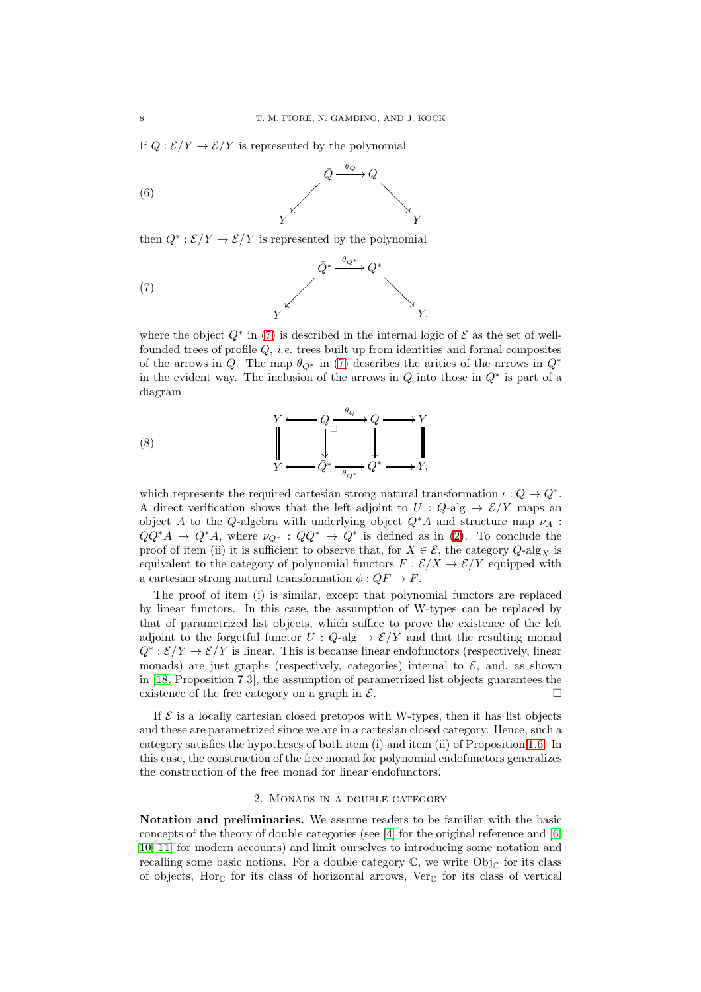If  $Q : \mathcal{E}/Y \to \mathcal{E}/Y$  is represented by the polynomial



then  $Q^* : \mathcal{E}/Y \to \mathcal{E}/Y$  is represented by the polynomial

<span id="page-7-1"></span>(7) 
$$
\overline{Q}^* \xrightarrow{\theta_{Q^*}} Q^* \xrightarrow{\gamma}
$$

where the object  $Q^*$  in [\(7\)](#page-7-1) is described in the internal logic of  $\mathcal E$  as the set of wellfounded trees of profile Q, *i.e.* trees built up from identities and formal composites of the arrows in Q. The map  $\theta_{Q^*}$  in [\(7\)](#page-7-1) describes the arities of the arrows in  $Q^*$ in the evident way. The inclusion of the arrows in  $Q$  into those in  $Q^*$  is part of a diagram

(8) 
$$
\begin{array}{ccc}\n & Y \longleftarrow & \bar{Q} \xrightarrow{\theta_Q} Q \longrightarrow Y \\
 & \downarrow & \downarrow & \downarrow \\
 Y \longleftarrow & \bar{Q}^* \xrightarrow{\theta_{Q^*}} Q^* \longrightarrow Y,\n\end{array}
$$

which represents the required cartesian strong natural transformation  $\iota: Q \to Q^*$ . A direct verification shows that the left adjoint to  $U: Q$ -alg  $\rightarrow \mathcal{E}/Y$  maps an object A to the Q-algebra with underlying object  $Q^*A$  and structure map  $\nu_A$ :  $QQ^*A \to Q^*A$ , where  $\nu_{Q^*}: QQ^* \to Q^*$  is defined as in [\(2\)](#page-3-2). To conclude the proof of item (ii) it is sufficient to observe that, for  $X \in \mathcal{E}$ , the category  $Q$ -alg<sub>X</sub> is equivalent to the category of polynomial functors  $F : \mathcal{E}/X \to \mathcal{E}/Y$  equipped with a cartesian strong natural transformation  $\phi$  :  $QF \to F$ .

The proof of item (i) is similar, except that polynomial functors are replaced by linear functors. In this case, the assumption of W-types can be replaced by that of parametrized list objects, which suffice to prove the existence of the left adjoint to the forgetful functor  $U: Q$ -alg  $\rightarrow \mathcal{E}/Y$  and that the resulting monad  $Q^* : \mathcal{E}/Y \to \mathcal{E}/Y$  is linear. This is because linear endofunctors (respectively, linear monads) are just graphs (respectively, categories) internal to  $\mathcal{E}$ , and, as shown in [\[18,](#page-29-7) Proposition 7.3], the assumption of parametrized list objects guarantees the existence of the free category on a graph in  $\mathcal{E}$ .

If  $\mathcal E$  is a locally cartesian closed pretopos with W-types, then it has list objects and these are parametrized since we are in a cartesian closed category. Hence, such a category satisfies the hypotheses of both item (i) and item (ii) of Proposition [1.6.](#page-6-0) In this case, the construction of the free monad for polynomial endofunctors generalizes the construction of the free monad for linear endofunctors.

#### 2. Monads in a double category

<span id="page-7-0"></span>Notation and preliminaries. We assume readers to be familiar with the basic concepts of the theory of double categories (see [\[4\]](#page-29-17) for the original reference and [\[6,](#page-29-18) [10,](#page-29-19) [11\]](#page-29-20) for modern accounts) and limit ourselves to introducing some notation and recalling some basic notions. For a double category  $\mathbb{C}$ , we write Obj<sub>C</sub> for its class of objects, Hor<sub>C</sub> for its class of horizontal arrows, Ver<sub>C</sub> for its class of vertical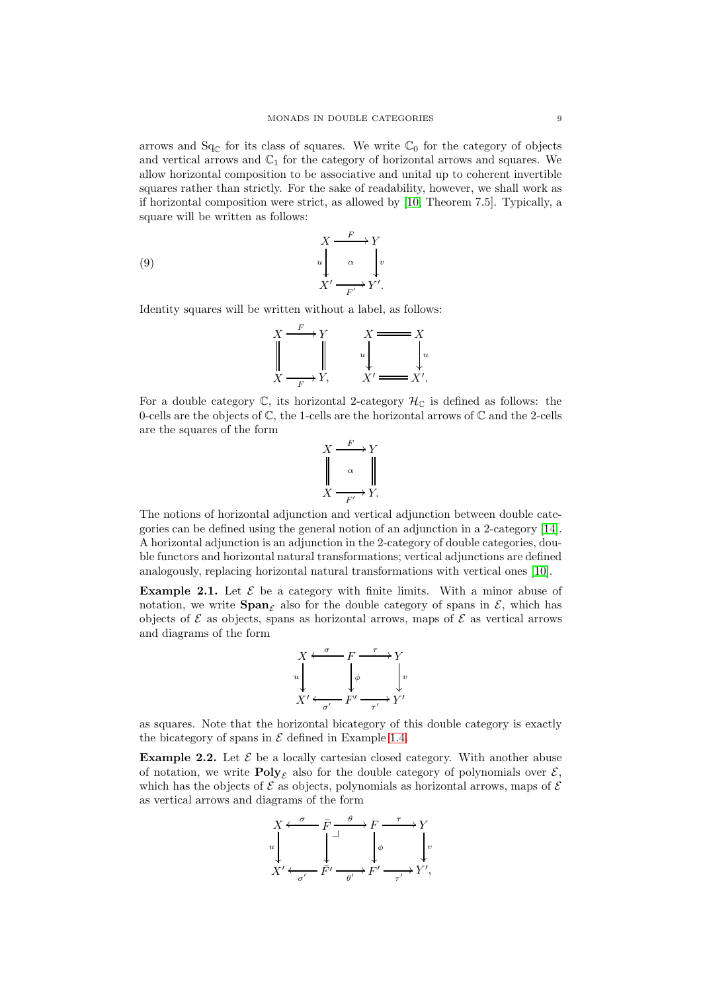arrows and  $Sq_{\mathbb{C}}$  for its class of squares. We write  $\mathbb{C}_0$  for the category of objects and vertical arrows and  $\mathbb{C}_1$  for the category of horizontal arrows and squares. We allow horizontal composition to be associative and unital up to coherent invertible squares rather than strictly. For the sake of readability, however, we shall work as if horizontal composition were strict, as allowed by [\[10,](#page-29-19) Theorem 7.5]. Typically, a square will be written as follows:

(9) 
$$
X \xrightarrow{F} Y
$$

$$
u \downarrow \alpha \qquad \downarrow v
$$

$$
X' \xrightarrow{F'} Y'.
$$

Identity squares will be written without a label, as follows:

<span id="page-8-0"></span>
$$
\begin{array}{ccc}\nX & \xrightarrow{F} & Y & X \longrightarrow X \\
\parallel & & & & \\
X & \xrightarrow{F} & Y, & & X \longrightarrow X'.\n\end{array}
$$

For a double category  $\mathbb{C}$ , its horizontal 2-category  $\mathcal{H}_{\mathbb{C}}$  is defined as follows: the 0-cells are the objects of  $\mathbb{C}$ , the 1-cells are the horizontal arrows of  $\mathbb{C}$  and the 2-cells are the squares of the form

$$
X \xrightarrow{F} Y
$$
  
\n
$$
\begin{array}{c}\n\downarrow \\
\downarrow \\
X \xrightarrow{F'} Y.\n\end{array}
$$

The notions of horizontal adjunction and vertical adjunction between double categories can be defined using the general notion of an adjunction in a 2-category [\[14\]](#page-29-21). A horizontal adjunction is an adjunction in the 2-category of double categories, double functors and horizontal natural transformations; vertical adjunctions are defined analogously, replacing horizontal natural transformations with vertical ones [\[10\]](#page-29-19).

**Example 2.1.** Let  $\mathcal{E}$  be a category with finite limits. With a minor abuse of notation, we write  $\text{Span}_{\mathcal{E}}$  also for the double category of spans in  $\mathcal{E}$ , which has objects of  $\mathcal E$  as objects, spans as horizontal arrows, maps of  $\mathcal E$  as vertical arrows and diagrams of the form



as squares. Note that the horizontal bicategory of this double category is exactly the bicategory of spans in  $\mathcal E$  defined in Example [1.4.](#page-5-2)

**Example 2.2.** Let  $\mathcal{E}$  be a locally cartesian closed category. With another abuse of notation, we write  $\text{Poly}_{\mathcal{E}}$  also for the double category of polynomials over  $\mathcal{E}$ , which has the objects of  $\mathcal E$  as objects, polynomials as horizontal arrows, maps of  $\mathcal E$ as vertical arrows and diagrams of the form

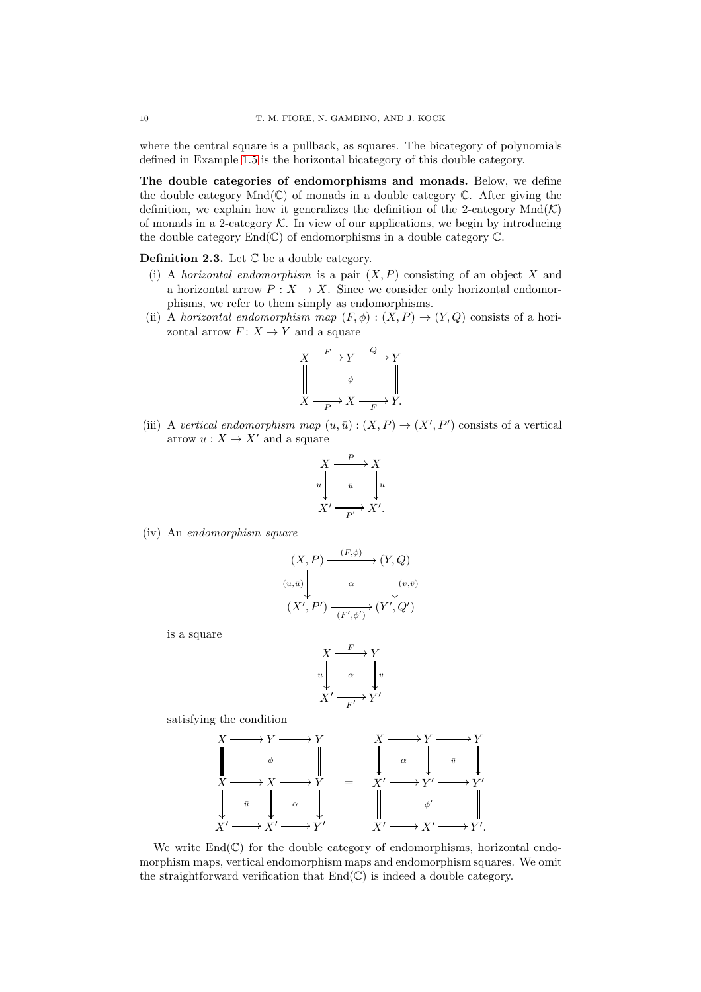where the central square is a pullback, as squares. The bicategory of polynomials defined in Example [1.5](#page-5-3) is the horizontal bicategory of this double category.

The double categories of endomorphisms and monads. Below, we define the double category  $Mnd(\mathbb{C})$  of monads in a double category  $\mathbb{C}$ . After giving the definition, we explain how it generalizes the definition of the 2-category  $Mnd(\mathcal{K})$ of monads in a 2-category  $K$ . In view of our applications, we begin by introducing the double category  $End(\mathbb{C})$  of endomorphisms in a double category  $\mathbb{C}$ .

**Definition 2.3.** Let  $\mathbb C$  be a double category.

- (i) A *horizontal endomorphism* is a pair  $(X, P)$  consisting of an object X and a horizontal arrow  $P: X \to X$ . Since we consider only horizontal endomorphisms, we refer to them simply as endomorphisms.
- (ii) A *horizontal endomorphism map*  $(F, \phi) : (X, P) \to (Y, Q)$  consists of a horizontal arrow  $F: X \to Y$  and a square

$$
X \xrightarrow{F} Y \xrightarrow{Q} Y
$$
  
\n
$$
\downarrow \qquad \phi \qquad \qquad \parallel
$$
  
\n
$$
X \xrightarrow{P} X \xrightarrow{F} Y.
$$

(iii) A *vertical endomorphism map*  $(u, \bar{u}) : (X, P) \to (X', P')$  consists of a vertical arrow  $u: X \to X'$  and a square

$$
X \xrightarrow{\quad P \quad} X
$$
  
\n
$$
u \downarrow \quad \bar{u} \quad \downarrow u
$$
  
\n
$$
X' \xrightarrow{\quad P'} X'.
$$

(iv) An *endomorphism square*

$$
(X, P) \xrightarrow{(F, \phi)} (Y, Q)
$$
  
\n
$$
(u, \bar{u}) \downarrow \alpha \qquad \qquad (v, \bar{v})
$$
  
\n
$$
(X', P') \xrightarrow{(F', \phi')} (Y', Q')
$$

is a square

$$
X \xrightarrow{F} Y
$$
  
\n
$$
u \downarrow \alpha \qquad \downarrow v
$$
  
\n
$$
X' \xrightarrow{F'} Y'
$$

satisfying the condition

$$
\begin{array}{ccc}\nX & \longrightarrow & Y & \longrightarrow & Y & \longrightarrow & Y & \longrightarrow & Y \\
\parallel & \phi & \parallel & & \downarrow & & \downarrow & & \downarrow & \downarrow & \downarrow & \\
X & \longrightarrow & X & \longrightarrow & Y & \longrightarrow & Y & \longrightarrow & Y' & \downarrow & \\
\downarrow & & \bar{u} & \downarrow & \alpha & \downarrow & & \parallel & \phi' & \parallel \\
X' & \longrightarrow & X' & \longrightarrow & Y' & & X' & \longrightarrow & X' & \longrightarrow & Y'.\n\end{array}
$$

We write  $\text{End}(\mathbb{C})$  for the double category of endomorphisms, horizontal endomorphism maps, vertical endomorphism maps and endomorphism squares. We omit the straightforward verification that  $End(\mathbb{C})$  is indeed a double category.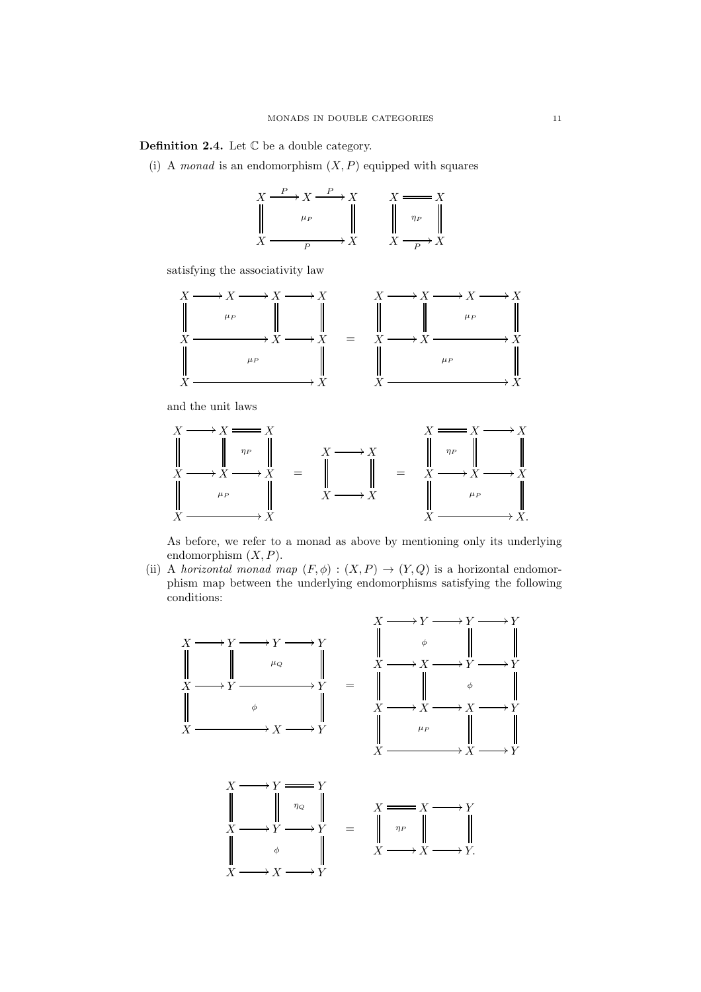<span id="page-10-0"></span>**Definition 2.4.** Let  $\mathbb C$  be a double category.

(i) A *monad* is an endomorphism  $(X, P)$  equipped with squares



satisfying the associativity law



and the unit laws



As before, we refer to a monad as above by mentioning only its underlying endomorphism  $(X, P)$ .

(ii) A *horizontal monad map*  $(F, \phi) : (X, P) \to (Y, Q)$  is a horizontal endomorphism map between the underlying endomorphisms satisfying the following conditions:

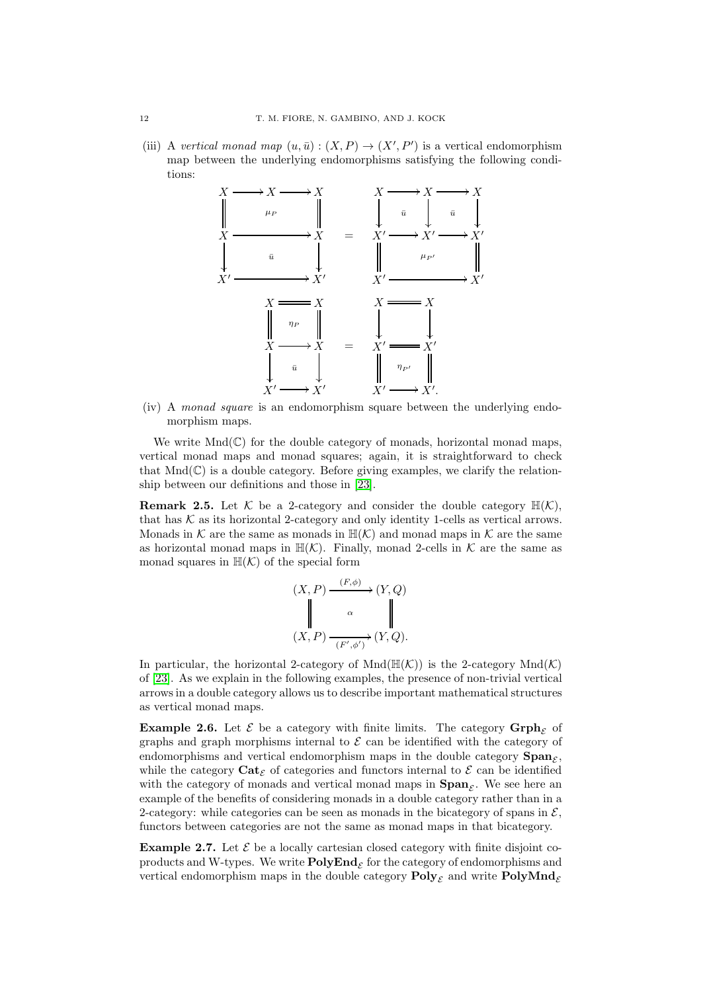(iii) A *vertical monad map*  $(u, \bar{u}) : (X, P) \to (X', P')$  is a vertical endomorphism map between the underlying endomorphisms satisfying the following conditions:



(iv) A *monad square* is an endomorphism square between the underlying endomorphism maps.

We write  $Mnd(\mathbb{C})$  for the double category of monads, horizontal monad maps, vertical monad maps and monad squares; again, it is straightforward to check that  $Mnd(\mathbb{C})$  is a double category. Before giving examples, we clarify the relationship between our definitions and those in [\[23\]](#page-29-0).

**Remark 2.5.** Let K be a 2-category and consider the double category  $\mathbb{H}(\mathcal{K})$ , that has  $K$  as its horizontal 2-category and only identity 1-cells as vertical arrows. Monads in  $K$  are the same as monads in  $\mathbb{H}(\mathcal{K})$  and monad maps in  $\mathcal K$  are the same as horizontal monad maps in  $\mathbb{H}(\mathcal{K})$ . Finally, monad 2-cells in  $\mathcal K$  are the same as monad squares in  $\mathbb{H}(\mathcal{K})$  of the special form

$$
(X, P) \xrightarrow{(F, \phi)} (Y, Q)
$$
  
\n
$$
(X, P) \xrightarrow{\alpha} (\mathbb{F}', \phi') (Y, Q).
$$

In particular, the horizontal 2-category of  $Mnd(\mathbb{H}(\mathcal{K}))$  is the 2-category  $Mnd(\mathcal{K})$ of [\[23\]](#page-29-0). As we explain in the following examples, the presence of non-trivial vertical arrows in a double category allows us to describe important mathematical structures as vertical monad maps.

**Example 2.6.** Let  $\mathcal{E}$  be a category with finite limits. The category  $\mathbf{Grph}_{\mathcal{E}}$  of graphs and graph morphisms internal to  $\mathcal E$  can be identified with the category of endomorphisms and vertical endomorphism maps in the double category  $\text{Span}_{\mathcal{E}}$ , while the category  $\text{Cat}_{\mathcal{E}}$  of categories and functors internal to  $\mathcal E$  can be identified with the category of monads and vertical monad maps in  $\text{Span}_{\mathcal{E}}$ . We see here an example of the benefits of considering monads in a double category rather than in a 2-category: while categories can be seen as monads in the bicategory of spans in  $\mathcal{E}$ , functors between categories are not the same as monad maps in that bicategory.

**Example 2.7.** Let  $\mathcal{E}$  be a locally cartesian closed category with finite disjoint coproducts and W-types. We write  $\mathbf{PolyEnd}_{\mathcal{E}}$  for the category of endomorphisms and vertical endomorphism maps in the double category  $\text{Poly}_{\mathcal{E}}$  and write  $\text{PolyMnd}_{\mathcal{E}}$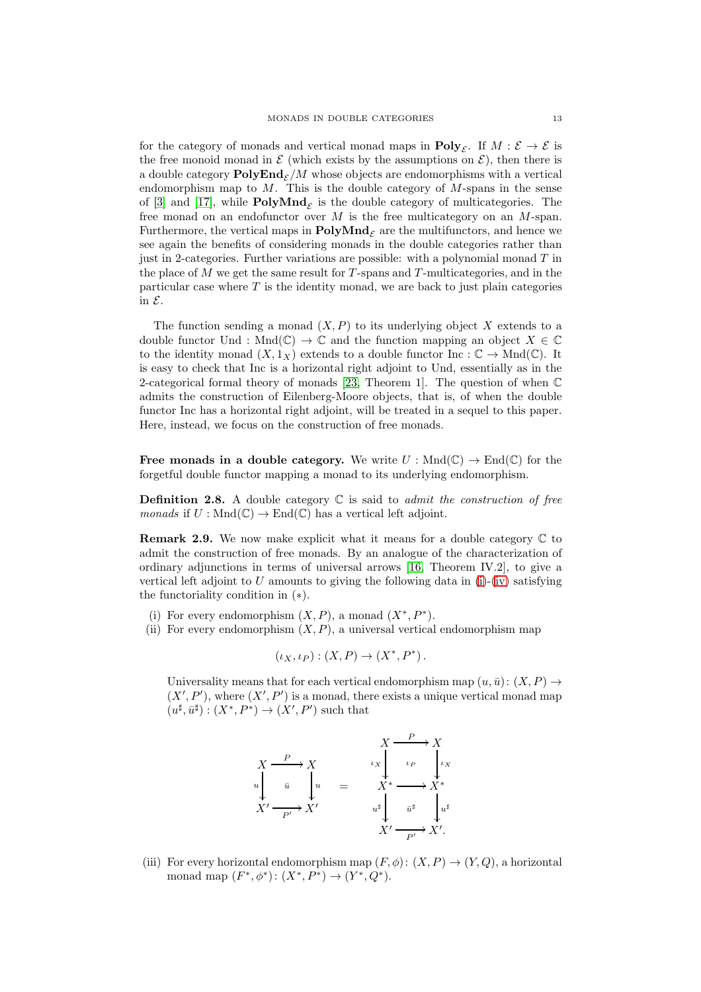for the category of monads and vertical monad maps in  $\text{Poly}_{\mathcal{E}}$ . If  $M: \mathcal{E} \to \mathcal{E}$  is the free monoid monad in  $\mathcal E$  (which exists by the assumptions on  $\mathcal E$ ), then there is a double category  $\text{PolyEnd}_{\mathcal{E}}/M$  whose objects are endomorphisms with a vertical endomorphism map to  $M$ . This is the double category of  $M$ -spans in the sense of [\[3\]](#page-29-15) and [\[17\]](#page-29-3), while  $\text{PolyMnd}_{\mathcal{E}}$  is the double category of multicategories. The free monad on an endofunctor over M is the free multicategory on an M-span. Furthermore, the vertical maps in  $\text{PolyMnd}_{\mathcal{E}}$  are the multifunctors, and hence we see again the benefits of considering monads in the double categories rather than just in 2-categories. Further variations are possible: with a polynomial monad  $T$  in the place of  $M$  we get the same result for  $T$ -spans and  $T$ -multicategories, and in the particular case where  $T$  is the identity monad, we are back to just plain categories in  $\mathcal{E}$ .

The function sending a monad  $(X, P)$  to its underlying object X extends to a double functor Und : Mnd $(\mathbb{C}) \to \mathbb{C}$  and the function mapping an object  $X \in \mathbb{C}$ to the identity monad  $(X, 1_X)$  extends to a double functor Inc :  $\mathbb{C} \to \text{Mnd}(\mathbb{C})$ . It is easy to check that Inc is a horizontal right adjoint to Und, essentially as in the 2-categorical formal theory of monads [\[23,](#page-29-0) Theorem 1]. The question of when C admits the construction of Eilenberg-Moore objects, that is, of when the double functor Inc has a horizontal right adjoint, will be treated in a sequel to this paper. Here, instead, we focus on the construction of free monads.

Free monads in a double category. We write  $U : \text{Mnd}(\mathbb{C}) \to \text{End}(\mathbb{C})$  for the forgetful double functor mapping a monad to its underlying endomorphism.

<span id="page-12-4"></span>Definition 2.8. A double category C is said to *admit the construction of free monads* if  $U : \text{Mnd}(\mathbb{C}) \to \text{End}(\mathbb{C})$  has a vertical left adjoint.

<span id="page-12-3"></span>**Remark 2.9.** We now make explicit what it means for a double category  $\mathbb C$  to admit the construction of free monads. By an analogue of the characterization of ordinary adjunctions in terms of universal arrows [\[16,](#page-29-11) Theorem IV.2], to give a vertical left adjoint to U amounts to giving the following data in  $(i)$ - $(iv)$  satisfying the functoriality condition in (∗).

- <span id="page-12-2"></span><span id="page-12-0"></span>(i) For every endomorphism  $(X, P)$ , a monad  $(X^*, P^*)$ .
- (ii) For every endomorphism  $(X, P)$ , a universal vertical endomorphism map

$$
(\iota_X, \iota_P) : (X, P) \to (X^*, P^*).
$$

Universality means that for each vertical endomorphism map  $(u, \bar{u})$ :  $(X, P) \rightarrow$  $(X', P')$ , where  $(X', P')$  is a monad, there exists a unique vertical monad map  $(u^{\sharp}, \bar{u}^{\sharp}) : (X^*, P^*) \to (X', P')$  such that



<span id="page-12-1"></span>(iii) For every horizontal endomorphism map  $(F, \phi)$ :  $(X, P) \rightarrow (Y, Q)$ , a horizontal monad map  $(F^*, \phi^*)$ :  $(X^*, P^*) \to (Y^*, Q^*)$ .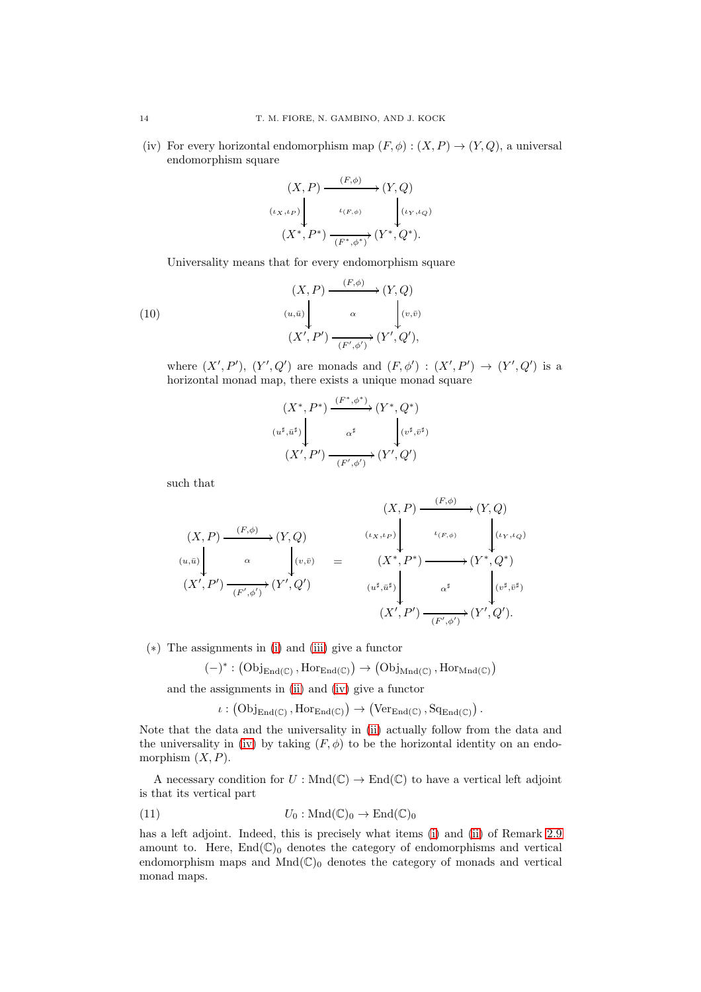(iv) For every horizontal endomorphism map  $(F, \phi) : (X, P) \to (Y, Q)$ , a universal endomorphism square

$$
(X, P) \xrightarrow{(F, \phi)} (Y, Q)
$$
  

$$
(x, \iota_P) \downarrow \iota_{(F, \phi)} \qquad \qquad \downarrow (i_Y, \iota_Q)
$$
  

$$
(X^*, P^*) \xrightarrow{(F^*, \phi^*)} (Y^*, Q^*).
$$

Universality means that for every endomorphism square

(10)  
\n
$$
(X, P) \xrightarrow{(F, \phi)} (Y, Q)
$$
\n
$$
(u, \bar{u}) \downarrow \alpha \downarrow (v, \bar{v})
$$
\n
$$
(X', P') \xrightarrow{(F', \phi')} (Y', Q'),
$$

where  $(X', P'), (Y', Q')$  are monads and  $(F, \phi') : (X', P') \rightarrow (Y', Q')$  is a horizontal monad map, there exists a unique monad square

$$
(X^*, P^*) \xrightarrow{(F^*, \phi^*)} (Y^*, Q^*)
$$

$$
(u^{\sharp}, \bar{u}^{\sharp}) \downarrow \alpha^{\sharp} \downarrow \downarrow (v^{\sharp}, \bar{v}^{\sharp})
$$

$$
(X', P') \xrightarrow{(F', \phi')} (Y', Q')
$$

such that

$$
(X, P) \xrightarrow{(F, \phi)} (Y, Q)
$$
  
\n
$$
(u, \bar{u}) \downarrow \alpha
$$
  
\n
$$
(X', P') \xrightarrow{(F, \phi)} (Y, Q)
$$
  
\n
$$
(u, \bar{u}) \downarrow \alpha
$$
  
\n
$$
(X', P') \xrightarrow{(F', \phi')} (Y', Q')
$$
  
\n
$$
(u^{\sharp}, \bar{u}^{\sharp}) \downarrow \alpha^{\sharp}
$$
  
\n
$$
(X', P') \xrightarrow{(F', \phi')} (Y', Q')
$$
  
\n
$$
(u^{\sharp}, \bar{u}^{\sharp}) \downarrow \alpha^{\sharp}
$$
  
\n
$$
(X', P') \xrightarrow{(F', \phi')} (Y', Q').
$$

(∗) The assignments in [\(i\)](#page-12-0) and [\(iii\)](#page-12-1) give a functor

$$
(-)^*:\left(\mathrm{Obj}_{\mathrm{End}(\mathbb{C})}\,,\mathrm{Hor}_{\mathrm{End}(\mathbb{C})}\right)\to\left(\mathrm{Obj}_{\mathrm{Mnd}(\mathbb{C})}\,,\mathrm{Hor}_{\mathrm{Mnd}(\mathbb{C})}\right)
$$

and the assignments in [\(ii\)](#page-12-2) and [\(iv\)](#page-13-0) give a functor

<span id="page-13-1"></span> $\iota: (\mathrm{Obj}_{\mathrm{End}(\mathbb{C})}, \mathrm{Hor}_{\mathrm{End}(\mathbb{C})}) \to (\mathrm{Ver}_{\mathrm{End}(\mathbb{C})}, \mathrm{Sq}_{\mathrm{End}(\mathbb{C})}).$ 

Note that the data and the universality in [\(ii\)](#page-12-2) actually follow from the data and the universality in [\(iv\)](#page-13-0) by taking  $(F, \phi)$  to be the horizontal identity on an endomorphism  $(X, P)$ .

A necessary condition for  $U : \text{Mnd}(\mathbb{C}) \to \text{End}(\mathbb{C})$  to have a vertical left adjoint is that its vertical part

(11) 
$$
U_0: \text{Mnd}(\mathbb{C})_0 \to \text{End}(\mathbb{C})_0
$$

has a left adjoint. Indeed, this is precisely what items [\(i\)](#page-12-0) and [\(ii\)](#page-12-2) of Remark [2.9](#page-12-3) amount to. Here,  $End(\mathbb{C})_0$  denotes the category of endomorphisms and vertical endomorphism maps and  $Mnd(\mathbb{C})_0$  denotes the category of monads and vertical monad maps.

<span id="page-13-0"></span>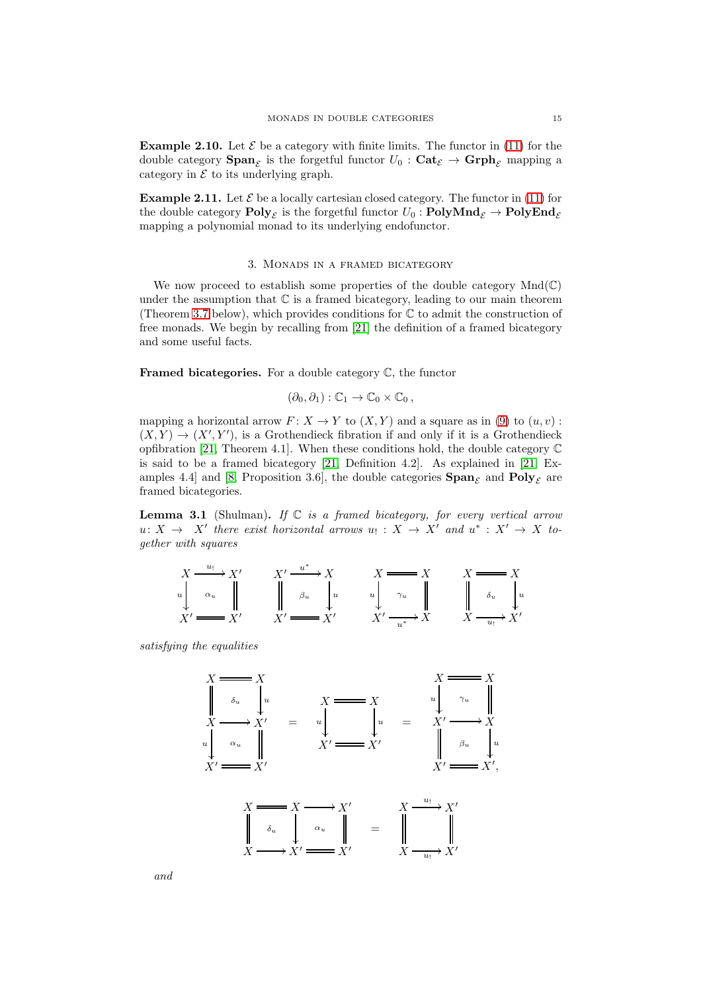**Example 2.10.** Let  $\mathcal{E}$  be a category with finite limits. The functor in [\(11\)](#page-13-1) for the double category  $\text{Span}_{\mathcal{E}}$  is the forgetful functor  $U_0$  :  $\text{Cat}_{\mathcal{E}} \to \text{Grph}_{\mathcal{E}}$  mapping a category in  $\mathcal E$  to its underlying graph.

**Example 2.11.** Let  $\mathcal E$  be a locally cartesian closed category. The functor in [\(11\)](#page-13-1) for the double category  ${\bf Poly}_\mathcal{E}$  is the forgetful functor  $U_0: {\bf PolyMnd}_\mathcal{E} \to {\bf PolyEnd}_\mathcal{E}$ mapping a polynomial monad to its underlying endofunctor.

# 3. Monads in a framed bicategory

<span id="page-14-0"></span>We now proceed to establish some properties of the double category  $Mnd(\mathbb{C})$ under the assumption that  $\mathbb C$  is a framed bicategory, leading to our main theorem (Theorem [3.7](#page-19-0) below), which provides conditions for  $\mathbb C$  to admit the construction of free monads. We begin by recalling from [\[21\]](#page-29-5) the definition of a framed bicategory and some useful facts.

**Framed bicategories.** For a double category  $\mathbb{C}$ , the functor

$$
(\partial_0, \partial_1) : \mathbb{C}_1 \to \mathbb{C}_0 \times \mathbb{C}_0 ,
$$

mapping a horizontal arrow  $F: X \to Y$  to  $(X, Y)$  and a square as in [\(9\)](#page-8-0) to  $(u, v)$ :  $(X,Y) \to (X',Y')$ , is a Grothendieck fibration if and only if it is a Grothendieck opfibration [\[21,](#page-29-5) Theorem 4.1]. When these conditions hold, the double category  $\mathbb C$ is said to be a framed bicategory [\[21,](#page-29-5) Definition 4.2]. As explained in [\[21,](#page-29-5) Ex-amples 4.4] and [\[8,](#page-29-10) Proposition 3.6], the double categories  $\text{Span}_{\mathcal{E}}$  and  $\text{Poly}_{\mathcal{E}}$  are framed bicategories.

<span id="page-14-1"></span>Lemma 3.1 (Shulman). *If* C *is a framed bicategory, for every vertical arrow*  $u: X \to X'$  there exist horizontal arrows  $u_! : X \to X'$  and  $u^* : X' \to X$  to*gether with squares*

$$
\begin{array}{ccc}\nX \xrightarrow{u_1} X' & X' \xrightarrow{u^*} X & X \xrightarrow{X} X & X \xrightarrow{X} X \\
u & \alpha_u & \parallel & \beta_u & \downarrow u & \lambda_u \\
X' \xrightarrow{X'} & X' \xrightarrow{X'} & X' \xrightarrow{u^*} X & X \xrightarrow{u_1} X'\n\end{array}
$$

*satisfying the equalities*



*and*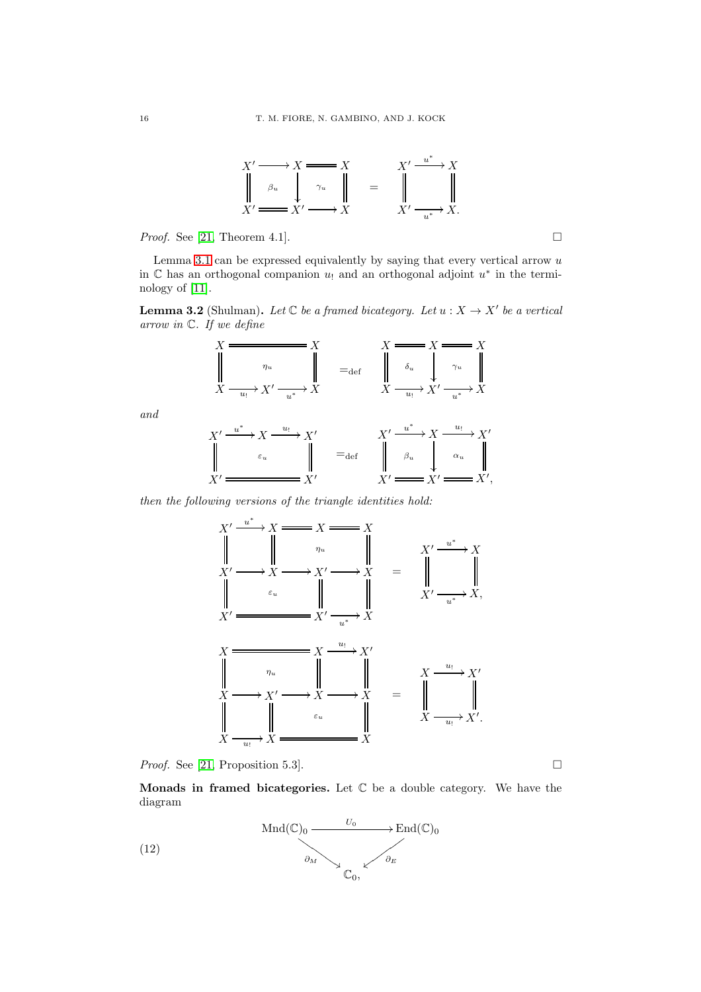

*Proof.* See [\[21,](#page-29-5) Theorem 4.1]. □

Lemma [3.1](#page-14-1) can be expressed equivalently by saying that every vertical arrow  $u$ in  $\mathbb C$  has an orthogonal companion  $u_!$  and an orthogonal adjoint  $u^*$  in the terminology of [\[11\]](#page-29-20).

<span id="page-15-0"></span>**Lemma 3.2** (Shulman). Let  $\mathbb C$  be a framed bicategory. Let  $u : X \to X'$  be a vertical *arrow in* C*. If we define*



*then the following versions of the triangle identities hold:*



*Proof.* See [\[21,](#page-29-5) Proposition 5.3]. □

**Monads in framed bicategories.** Let  $\mathbb C$  be a double category. We have the diagram

<span id="page-15-1"></span>

*and*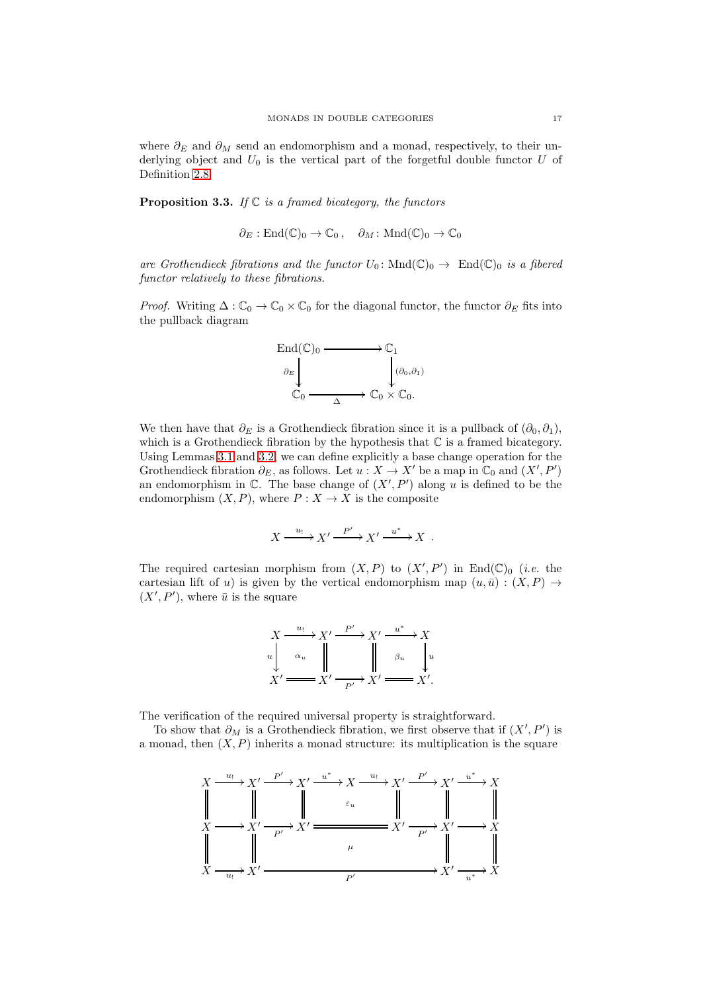where  $\partial_E$  and  $\partial_M$  send an endomorphism and a monad, respectively, to their underlying object and  $U_0$  is the vertical part of the forgetful double functor  $U$  of Definition [2.8.](#page-12-4)

Proposition 3.3. *If* C *is a framed bicategory, the functors*

$$
\partial_E : \text{End}(\mathbb{C})_0 \to \mathbb{C}_0, \quad \partial_M : \text{Mnd}(\mathbb{C})_0 \to \mathbb{C}_0
$$

*are Grothendieck fibrations and the functor*  $U_0$ : Mnd $(\mathbb{C})_0 \rightarrow$  End $(\mathbb{C})_0$  *is a fibered functor relatively to these fibrations.*

*Proof.* Writing  $\Delta: \mathbb{C}_0 \to \mathbb{C}_0 \times \mathbb{C}_0$  for the diagonal functor, the functor  $\partial_E$  fits into the pullback diagram



We then have that  $\partial_E$  is a Grothendieck fibration since it is a pullback of  $(\partial_0, \partial_1)$ , which is a Grothendieck fibration by the hypothesis that  $\mathbb C$  is a framed bicategory. Using Lemmas [3.1](#page-14-1) and [3.2,](#page-15-0) we can define explicitly a base change operation for the Grothendieck fibration  $\partial_E$ , as follows. Let  $u: X \to X'$  be a map in  $\mathbb{C}_0$  and  $(X', P')$ an endomorphism in  $\mathbb{C}$ . The base change of  $(X', P')$  along u is defined to be the endomorphism  $(X, P)$ , where  $P: X \to X$  is the composite

$$
X \xrightarrow{u_!} X' \xrightarrow{P'} X' \xrightarrow{u^*} X .
$$

The required cartesian morphism from  $(X, P)$  to  $(X', P')$  in End $(\mathbb{C})_0$  (*i.e.* the cartesian lift of u) is given by the vertical endomorphism map  $(u, \bar{u}) : (X, P) \rightarrow$  $(X', P')$ , where  $\bar{u}$  is the square

$$
X \xrightarrow{u_!} X' \xrightarrow{P'} X' \xrightarrow{u^*} X
$$
  
\n
$$
u \downarrow \alpha_u \qquad \qquad u \qquad \qquad \downarrow \qquad \beta_u \qquad \downarrow u
$$
  
\n
$$
X' \xrightarrow{P'} X' \xrightarrow{P'} X' \xrightarrow{H''} X'.
$$

The verification of the required universal property is straightforward.

To show that  $\partial_M$  is a Grothendieck fibration, we first observe that if  $(X', P')$  is a monad, then  $(X, P)$  inherits a monad structure: its multiplication is the square

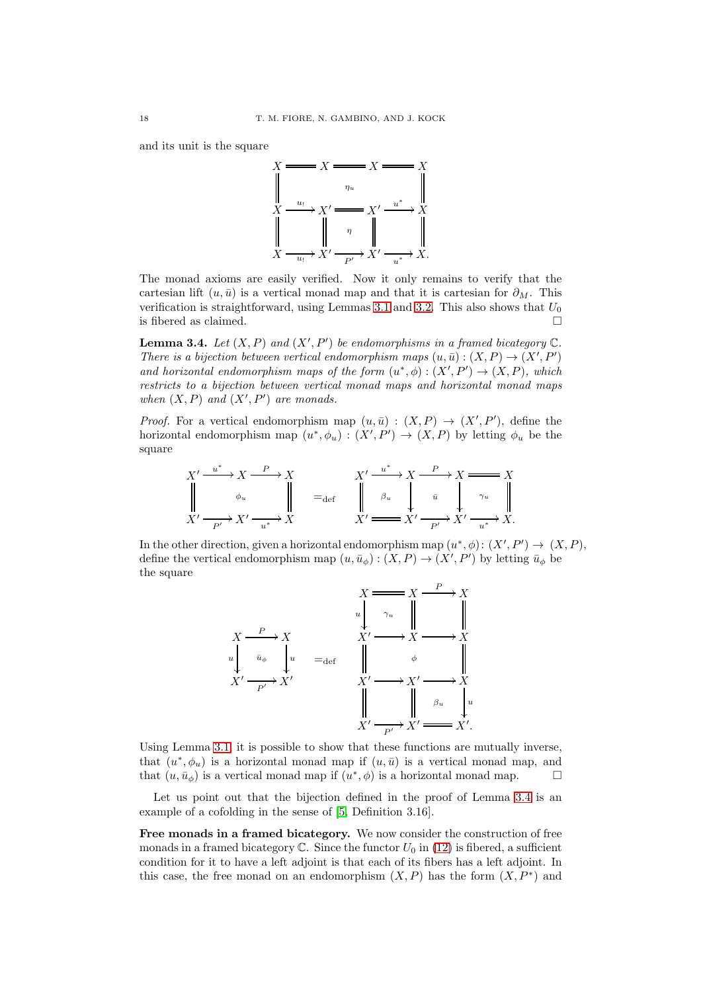and its unit is the square



The monad axioms are easily verified. Now it only remains to verify that the cartesian lift  $(u, \bar{u})$  is a vertical monad map and that it is cartesian for  $\partial_M$ . This verification is straightforward, using Lemmas [3.1](#page-14-1) and [3.2.](#page-15-0) This also shows that  $U_0$ is fibered as claimed.  $\square$ 

<span id="page-17-0"></span>**Lemma 3.4.** Let  $(X, P)$  and  $(X', P')$  be endomorphisms in a framed bicategory  $\mathbb{C}$ . *There is a bijection between vertical endomorphism maps*  $(u, \bar{u}) : (X, P) \rightarrow (X', P')$ and horizontal endomorphism maps of the form  $(u^*,\phi) : (X',P') \to (X,P)$ , which *restricts to a bijection between vertical monad maps and horizontal monad maps* when  $(X, P)$  and  $(X', P')$  are monads.

*Proof.* For a vertical endomorphism map  $(u, \bar{u}) : (X, P) \rightarrow (X', P')$ , define the horizontal endomorphism map  $(u^*, \phi_u) : (X', P') \to (X, P)$  by letting  $\phi_u$  be the square

$$
X' \xrightarrow{u^*} X \xrightarrow{P} X
$$
  
\n
$$
\downarrow \qquad \phi_u \qquad \qquad \downarrow \qquad \Rightarrow X' \xrightarrow{u^*} X \xrightarrow{P} X \xrightarrow{X'}
$$
  
\n
$$
X' \xrightarrow{u^*} X' \xrightarrow{u^*} X
$$
  
\n
$$
X' \xrightarrow{u^*} X' \xrightarrow{u^*} X'
$$
  
\n
$$
X' \xrightarrow{u^*} X' \xrightarrow{u^*} X.
$$

In the other direction, given a horizontal endomorphism map  $(u^*, \phi) : (X', P') \to (X, P)$ , define the vertical endomorphism map  $(u, \bar{u}_{\phi}) : (X, P) \to (X', P')$  by letting  $\bar{u}_{\phi}$  be the square



Using Lemma [3.1,](#page-14-1) it is possible to show that these functions are mutually inverse, that  $(u^*, \phi_u)$  is a horizontal monad map if  $(u, \bar{u})$  is a vertical monad map, and that  $(u, \bar{u}_{\phi})$  is a vertical monad map if  $(u^*, \phi)$  is a horizontal monad map.

Let us point out that the bijection defined in the proof of Lemma [3.4](#page-17-0) is an example of a cofolding in the sense of [\[5,](#page-29-22) Definition 3.16].

Free monads in a framed bicategory. We now consider the construction of free monads in a framed bicategory  $\mathbb C$ . Since the functor  $U_0$  in [\(12\)](#page-15-1) is fibered, a sufficient condition for it to have a left adjoint is that each of its fibers has a left adjoint. In this case, the free monad on an endomorphism  $(X, P)$  has the form  $(X, P^*)$  and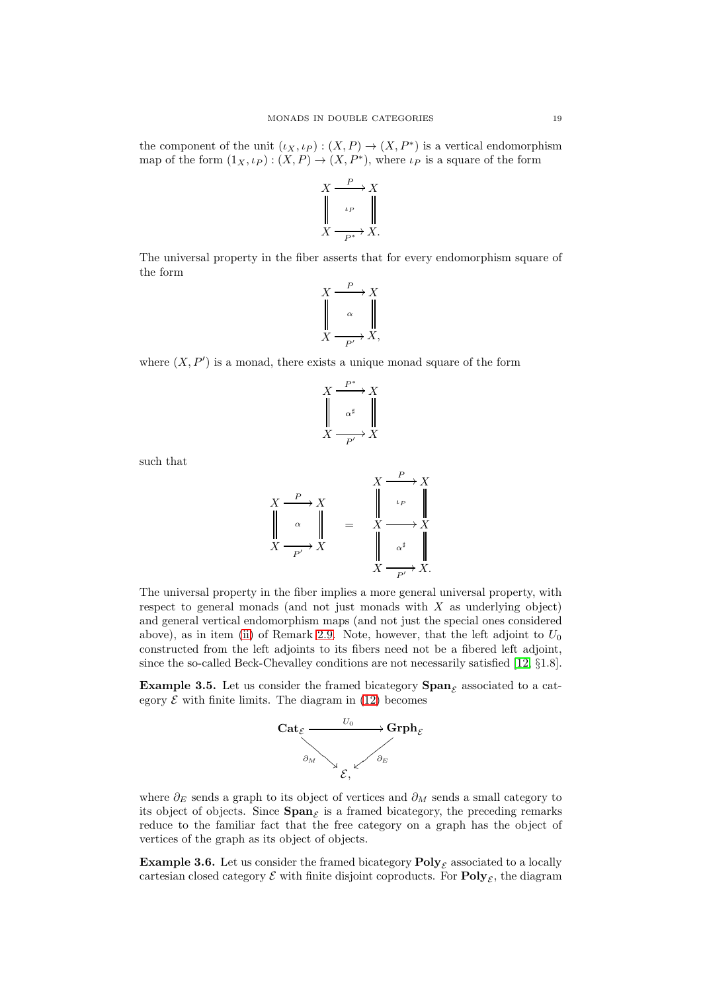the component of the unit  $(\iota_X, \iota_P) : (X, P) \to (X, P^*)$  is a vertical endomorphism map of the form  $(1_X, \iota_P) : (X, P) \to (X, P^*)$ , where  $\iota_P$  is a square of the form

$$
X \xrightarrow{\begin{array}{c} P \\ \downarrow P \\ \downarrow P \\ X \xrightarrow{\begin{array}{c} \downarrow P \\ \downarrow P^* \end{array}} X.
$$

The universal property in the fiber asserts that for every endomorphism square of the form

$$
\begin{array}{ccc}\nX & \xrightarrow{P} & X \\
\parallel & \alpha & \parallel \\
X & \xrightarrow{P'} & X,\n\end{array}
$$

where  $(X, P')$  is a monad, there exists a unique monad square of the form



such that

$$
X \xrightarrow{P} X
$$
\n
$$
\begin{array}{ccc}\n & X \xrightarrow{P} X \\
\downarrow \alpha & \downarrow \\
X \xrightarrow{P'} X\n\end{array} = \begin{array}{ccc}\n & X \xrightarrow{P} X \\
 & \downarrow \downarrow \\
X \xrightarrow{P'} X.\n\end{array}
$$

The universal property in the fiber implies a more general universal property, with respect to general monads (and not just monads with X as underlying object) and general vertical endomorphism maps (and not just the special ones considered above), as in item [\(ii\)](#page-12-2) of Remark [2.9.](#page-12-3) Note, however, that the left adjoint to  $U_0$ constructed from the left adjoints to its fibers need not be a fibered left adjoint, since the so-called Beck-Chevalley conditions are not necessarily satisfied [\[12,](#page-29-23) §1.8].

**Example 3.5.** Let us consider the framed bicategory  $\text{Span}_{\mathcal{E}}$  associated to a category  $\mathcal E$  with finite limits. The diagram in [\(12\)](#page-15-1) becomes



where  $\partial_E$  sends a graph to its object of vertices and  $\partial_M$  sends a small category to its object of objects. Since  $\text{Span}_{\mathcal{E}}$  is a framed bicategory, the preceding remarks reduce to the familiar fact that the free category on a graph has the object of vertices of the graph as its object of objects.

**Example 3.6.** Let us consider the framed bicategory  $\text{Poly}_\mathcal{F}$  associated to a locally cartesian closed category  $\mathcal E$  with finite disjoint coproducts. For  $\text{Poly}_{\mathcal E}$ , the diagram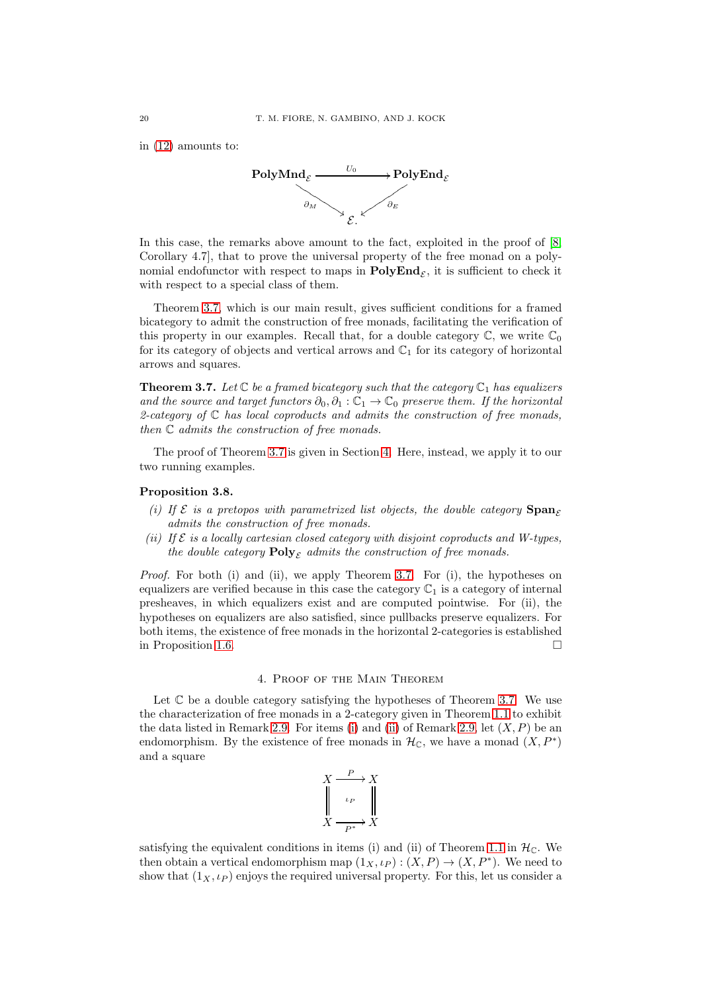in [\(12\)](#page-15-1) amounts to:



In this case, the remarks above amount to the fact, exploited in the proof of  $[8,$ Corollary 4.7], that to prove the universal property of the free monad on a polynomial endofunctor with respect to maps in  $\text{PolyEnd}_{\mathcal{E}}$ , it is sufficient to check it with respect to a special class of them.

Theorem [3.7,](#page-19-0) which is our main result, gives sufficient conditions for a framed bicategory to admit the construction of free monads, facilitating the verification of this property in our examples. Recall that, for a double category  $\mathbb{C}$ , we write  $\mathbb{C}_0$ for its category of objects and vertical arrows and  $\mathbb{C}_1$  for its category of horizontal arrows and squares.

<span id="page-19-0"></span>**Theorem 3.7.** Let  $\mathbb C$  be a framed bicategory such that the category  $\mathbb C_1$  has equalizers *and the source and target functors*  $\partial_0, \partial_1 : \mathbb{C}_1 \to \mathbb{C}_0$  *preserve them. If the horizontal 2-category of* C *has local coproducts and admits the construction of free monads, then* C *admits the construction of free monads.*

The proof of Theorem [3.7](#page-19-0) is given in Section [4.](#page-19-1) Here, instead, we apply it to our two running examples.

#### <span id="page-19-2"></span>Proposition 3.8.

- *(i)* If  $\mathcal E$  *is a pretopos with parametrized list objects, the double category*  $\text{Span}_{\mathcal E}$ *admits the construction of free monads.*
- *(ii) If* E *is a locally cartesian closed category with disjoint coproducts and W-types, the double category*  $\text{Poly}_{\mathcal{E}}$  *admits the construction of free monads.*

*Proof.* For both (i) and (ii), we apply Theorem [3.7.](#page-19-0) For (i), the hypotheses on equalizers are verified because in this case the category  $\mathbb{C}_1$  is a category of internal presheaves, in which equalizers exist and are computed pointwise. For (ii), the hypotheses on equalizers are also satisfied, since pullbacks preserve equalizers. For both items, the existence of free monads in the horizontal 2-categories is established in Proposition [1.6.](#page-6-0)

# 4. Proof of the Main Theorem

<span id="page-19-1"></span>Let  $\mathbb C$  be a double category satisfying the hypotheses of Theorem [3.7.](#page-19-0) We use the characterization of free monads in a 2-category given in Theorem [1.1](#page-3-1) to exhibit the data listed in Remark [2.9.](#page-12-3) For items [\(i\)](#page-12-0) and [\(ii\)](#page-12-2) of Remark [2.9,](#page-12-3) let  $(X, P)$  be an endomorphism. By the existence of free monads in  $\mathcal{H}_{\mathbb{C}}$ , we have a monad  $(X, P^*)$ and a square



satisfying the equivalent conditions in items (i) and (ii) of Theorem [1.1](#page-3-1) in  $\mathcal{H}_{\mathbb{C}}$ . We then obtain a vertical endomorphism map  $(1_X, \iota_P) : (X, P) \to (X, P^*)$ . We need to show that  $(1_X, \iota_P)$  enjoys the required universal property. For this, let us consider a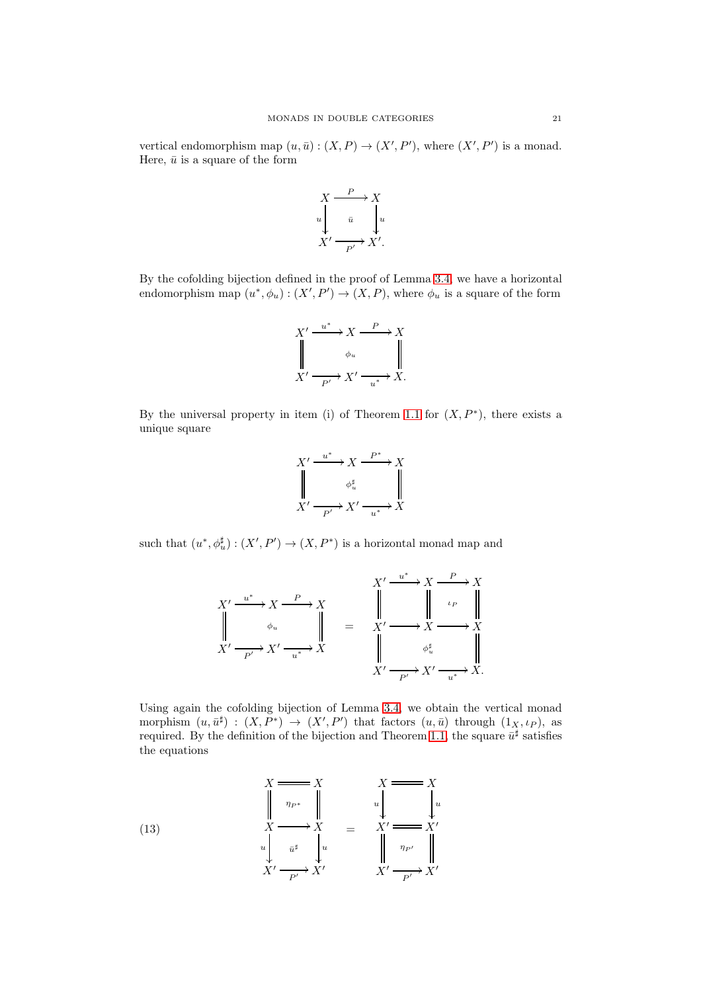vertical endomorphism map  $(u, \bar{u}) : (X, P) \to (X', P')$ , where  $(X', P')$  is a monad. Here,  $\bar{u}$  is a square of the form

$$
X \xrightarrow{P} X
$$
  
\n
$$
u \downarrow \bar{u} \qquad u
$$
  
\n
$$
X' \xrightarrow{p'} X'.
$$

By the cofolding bijection defined in the proof of Lemma [3.4,](#page-17-0) we have a horizontal endomorphism map  $(u^*, \phi_u) : (X', P') \to (X, P)$ , where  $\phi_u$  is a square of the form

$$
\begin{array}{ccc}\nX' & \xrightarrow{u^*} & X & \xrightarrow{P} & X \\
\parallel & \phi_u & & \parallel \\
X' & \xrightarrow{P'} & X' & \xrightarrow{u^*} & X.\n\end{array}
$$

By the universal property in item (i) of Theorem [1.1](#page-3-1) for  $(X, P^*)$ , there exists a unique square

$$
X' \xrightarrow{u^*} X \xrightarrow{P^*} X
$$
  

$$
\downarrow \qquad \phi_u^{\sharp} \qquad \qquad \downarrow \qquad \qquad \downarrow
$$
  

$$
X' \xrightarrow{P'} X' \xrightarrow{u^*} X
$$

such that  $(u^*, \phi_u^{\sharp}) : (X', P') \to (X, P^*)$  is a horizontal monad map and

$$
X' \xrightarrow{u^*} X \xrightarrow{P} X
$$
\n
$$
\parallel \qquad \phi_u \qquad \qquad \parallel \qquad \qquad \parallel \qquad \qquad \parallel \qquad \qquad \parallel \qquad \downarrow
$$
\n
$$
X' \xrightarrow{u^*} X' \xrightarrow{u^*} X
$$
\n
$$
\parallel \qquad \qquad \parallel \qquad \qquad \parallel \qquad \qquad \parallel
$$
\n
$$
X' \xrightarrow{p'} X' \xrightarrow{u^*} X
$$
\n
$$
\parallel \qquad \qquad \downarrow
$$
\n
$$
X' \xrightarrow{p'} X' \xrightarrow{u^*} X.
$$

Using again the cofolding bijection of Lemma [3.4,](#page-17-0) we obtain the vertical monad morphism  $(u, \bar{u}^{\sharp}) : (X, P^*) \to (X', P')$  that factors  $(u, \bar{u})$  through  $(1_X, \iota_P)$ , as required. By the definition of the bijection and Theorem [1.1,](#page-3-1) the square  $\bar{u}^{\sharp}$  satisfies the equations

<span id="page-20-0"></span>(13) 
$$
X = X
$$

$$
\begin{array}{ccc}\n & X \\
 & \uparrow \\
 & \uparrow \\
 & X \longrightarrow X \\
 & u & \downarrow \\
 & X' \longrightarrow X' \\
 & X' \longrightarrow X' \\
 & X' \longrightarrow X' \\
 & X' \longrightarrow X' \\
 & X' \longrightarrow X' \\
 & X' \longrightarrow X' \\
 & \downarrow \\
 & X' \longrightarrow X' \\
 & \downarrow \\
 & Y \longrightarrow X' \\
 & \downarrow \\
 & Y \longrightarrow X' \\
 & \downarrow \\
 & Y \longrightarrow X' \\
 & \downarrow \\
 & Y \longrightarrow X' \\
 & \downarrow \\
 & Y \longrightarrow X' \\
 & \downarrow \\
 & Y \longrightarrow X' \\
 & \downarrow \\
 & Y \longrightarrow X' \\
 & \downarrow \\
 & Y \longrightarrow X' \\
 & \downarrow \\
 & Y \longrightarrow X' \\
 & \downarrow \\
 & Y \longrightarrow X' \\
 & \downarrow \\
 & Y \longrightarrow X' \\
 & \downarrow \\
 & Y \longrightarrow X' \\
 & \downarrow \\
 & Y \longrightarrow X' \\
 & \downarrow \\
 & Y \longrightarrow X' \\
 & \downarrow \\
 & Y \longrightarrow X' \\
 & \downarrow \\
 & Y \longrightarrow X' \\
 & \downarrow \\
 & Y \longrightarrow X' \\
 & \downarrow \\
 & Y \longrightarrow X' \\
 & \downarrow \\
 & Y \longrightarrow X' \\
 & \downarrow \\
 & Y \longrightarrow X' \\
 & \downarrow \\
 & Y \longrightarrow X' \\
 & \downarrow \\
 & Y \longrightarrow X' \\
 & Y \longrightarrow X' \\
 & Y \longrightarrow X' \\
 & Y \longrightarrow X' \\
 & Y \longrightarrow X' \\
 & Y \longrightarrow X' \\
 & Y \longrightarrow X' \\
 & Y \longrightarrow X' \\
 & Y \longrightarrow X' \\
 & Y \longrightarrow X' \\
 & Y \longrightarrow X' \\
 & Y \longrightarrow X' \\
 & Y \longrightarrow X' \\
 & Y \longrightarrow X' \\
 & Y \longrightarrow X' \\
 & Y \longrightarrow X' \\
 & Y \longrightarrow X' \\
 & Y \longrightarrow X' \\
 & Y \longrightarrow X' \\
 & Y \longrightarrow X' \\
 & Y \longrightarrow X' \\
 & Y \longrightarrow X' \\
 & Y \longrightarrow X' \\
 & Y \longrightarrow X' \\
 & Y \longrightarrow X' \\
 & Y \longrightarrow X' \\
 & Y \longrightarrow X' \\
 & Y \longrightarrow X' \\
 & Y \longrightarrow X' \\
 & Y \longrightarrow X' \\
 & Y \longrightarrow X' \\
 & Y \longrightarrow X' \\
 & Y \longrightarrow X' \\
 & Y \longrightarrow X' \\
 & Y \longrightarrow X' \\
 & Y \longrightarrow X' \\
 & Y \longrightarrow X' \\
 & Y \longrightarrow X' \\
 & Y \longrightarrow X' \\
 & Y \longrightarrow X' \\
 & Y \longrightarrow X' \\
 & Y \longrightarrow X' \\
 & Y \longrightarrow X' \\
 & Y \longrightarrow X' \\
 & Y \longrightarrow X' \\
 & Y \longrightarrow X' \\
 & Y \longrightarrow X' \\
 & Y \longrightarrow X' \\
 & Y \longrightarrow X' \\
 & Y \longrightarrow X' \\
 & Y \longrightarrow X' \\
 & Y \longrightarrow X' \\
 & Y \longrightarrow X' \\
 & Y \longrightarrow X' \\
 & Y \longrightarrow X' \\
 & Y \longrightarrow X' \\
 &
$$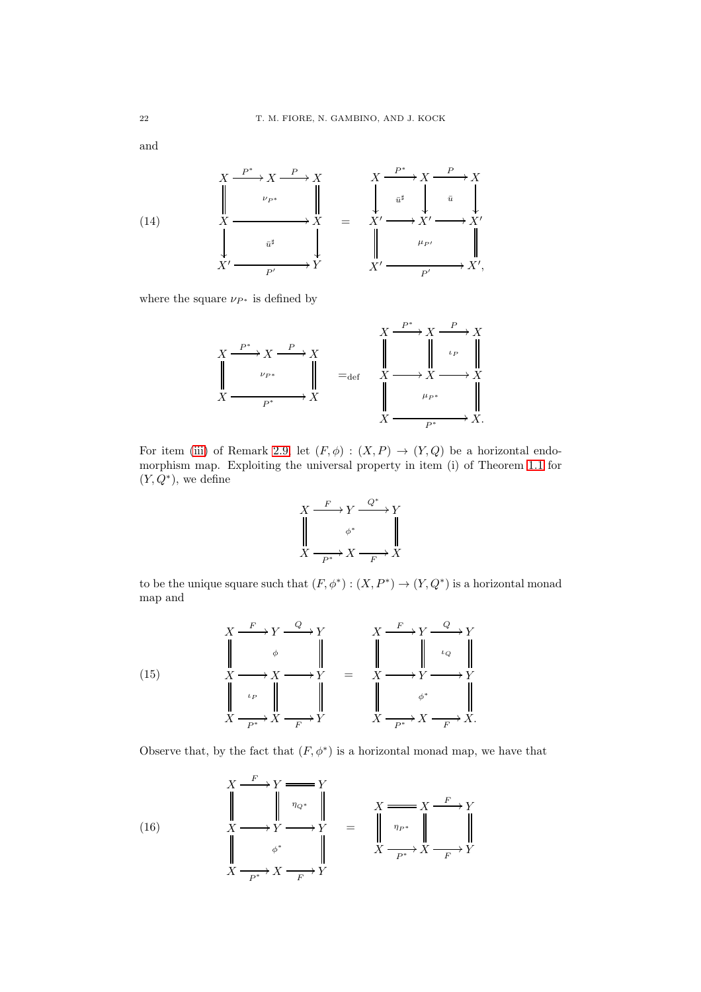and

<span id="page-21-2"></span>

where the square  $\nu_{P^*}$  is defined by

$$
X \xrightarrow{P^*} X \xrightarrow{P} X
$$
\n
$$
\downarrow \qquad \qquad \downarrow \qquad \qquad \downarrow \qquad \qquad \downarrow \qquad \qquad \downarrow \qquad \downarrow \qquad \downarrow \qquad \downarrow \qquad \downarrow \qquad \downarrow \qquad \downarrow \qquad \downarrow \qquad \downarrow \qquad \downarrow \qquad \downarrow \qquad \downarrow \qquad \downarrow \qquad \downarrow \qquad \downarrow \qquad \downarrow \qquad \downarrow \qquad \downarrow \qquad \downarrow \qquad \downarrow \qquad \downarrow \qquad \downarrow \qquad \downarrow \qquad \downarrow \qquad \downarrow \qquad \downarrow \qquad \downarrow \qquad \downarrow \qquad \downarrow \qquad \downarrow \qquad \downarrow \qquad \downarrow \qquad \downarrow \qquad \downarrow \qquad \downarrow \qquad \downarrow \qquad \downarrow \qquad \downarrow \qquad \downarrow \qquad \downarrow \qquad \downarrow \qquad \downarrow \qquad \downarrow \qquad \downarrow \qquad \downarrow \qquad \downarrow \qquad \downarrow \qquad \downarrow \qquad \downarrow \qquad \downarrow \qquad \downarrow \qquad \downarrow \qquad \downarrow \qquad \downarrow \qquad \downarrow \qquad \downarrow \qquad \downarrow \qquad \downarrow \qquad \downarrow \qquad \downarrow \qquad \downarrow \qquad \downarrow \qquad \downarrow \qquad \downarrow \qquad \downarrow \qquad \downarrow \qquad \downarrow \qquad \downarrow \qquad \downarrow \qquad \downarrow \qquad \downarrow \qquad \downarrow \qquad \downarrow \qquad \downarrow \qquad \downarrow \qquad \downarrow \qquad \downarrow \qquad \downarrow \qquad \downarrow \qquad \downarrow \qquad \downarrow \qquad \downarrow \qquad \downarrow \qquad \downarrow \qquad \downarrow \qquad \downarrow \qquad \downarrow \qquad \downarrow \qquad \downarrow \qquad \downarrow \qquad \downarrow \qquad \downarrow \qquad \downarrow \qquad \downarrow \qquad \downarrow \qquad \downarrow \qquad \downarrow \qquad \downarrow \qquad \downarrow \qquad \downarrow \qquad \downarrow \qquad \downarrow \qquad \downarrow \qquad \downarrow \qquad \downarrow \qquad \downarrow \qquad \downarrow \qquad \downarrow \qquad \downarrow \qquad \downarrow \qquad \downarrow \qquad \downarrow \qquad \downarrow \qquad \downarrow \qquad \downarrow \qquad \downarrow \qquad \
$$

For item [\(iii\)](#page-12-1) of Remark [2.9,](#page-12-3) let  $(F, \phi) : (X, P) \to (Y, Q)$  be a horizontal endomorphism map. Exploiting the universal property in item (i) of Theorem [1.1](#page-3-1) for  $(Y, Q^*)$ , we define

$$
\begin{array}{ccc}\nX & \xrightarrow{F} & Y & \xrightarrow{Q^*} & Y \\
\parallel & & \phi^* & & \parallel \\
X & \xrightarrow{P^*} & X & \xrightarrow{F} & X\n\end{array}
$$

to be the unique square such that  $(F, \phi^*) : (X, P^*) \to (Y, Q^*)$  is a horizontal monad map and

<span id="page-21-0"></span>(15) 
$$
X \xrightarrow{F} Y \xrightarrow{Q} Y
$$
\n
$$
\downarrow \phi
$$
\n
$$
\downarrow \phi
$$
\n
$$
\downarrow \phi
$$
\n
$$
\downarrow \phi
$$
\n
$$
\downarrow \phi
$$
\n
$$
\downarrow \phi
$$
\n
$$
\downarrow \phi
$$
\n
$$
\downarrow \phi
$$
\n
$$
\downarrow \phi
$$
\n
$$
\downarrow \phi
$$
\n
$$
\downarrow \phi
$$
\n
$$
\downarrow \phi
$$
\n
$$
\downarrow \phi
$$
\n
$$
\downarrow \phi
$$
\n
$$
\downarrow \phi
$$
\n
$$
\downarrow \phi
$$
\n
$$
\downarrow \phi
$$
\n
$$
\downarrow \phi
$$
\n
$$
\downarrow \phi
$$
\n
$$
\downarrow \phi
$$
\n
$$
\downarrow \phi
$$
\n
$$
\downarrow \phi
$$
\n
$$
\downarrow \phi
$$
\n
$$
\downarrow \phi
$$
\n
$$
\downarrow \phi
$$
\n
$$
\downarrow \phi
$$
\n
$$
\downarrow \phi
$$
\n
$$
\downarrow \phi
$$
\n
$$
\downarrow \phi
$$
\n
$$
\downarrow \phi
$$
\n
$$
\downarrow \phi
$$
\n
$$
\downarrow \phi
$$
\n
$$
\downarrow \phi
$$
\n
$$
\downarrow \phi
$$
\n
$$
\downarrow \phi
$$
\n
$$
\downarrow \phi
$$
\n
$$
\downarrow \phi
$$
\n
$$
\downarrow \phi
$$
\n
$$
\downarrow \phi
$$
\n
$$
\downarrow \phi
$$
\n
$$
\downarrow \phi
$$
\n
$$
\downarrow \phi
$$
\n
$$
\downarrow \phi
$$
\n
$$
\downarrow \phi
$$
\n
$$
\downarrow \phi
$$
\n
$$
\downarrow \phi
$$
\n
$$
\downarrow \phi
$$
\n
$$
\downarrow \phi
$$
\n
$$
\downarrow \phi
$$
\n
$$
\downarrow \phi
$$
\n
$$
\downarrow \phi
$$
\n
$$
\downarrow \phi
$$
\n
$$
\downarrow
$$

Observe that, by the fact that  $(F, \phi^*)$  is a horizontal monad map, we have that

<span id="page-21-1"></span>(16) 
$$
\begin{array}{ccc}\nX \xrightarrow{F} Y \xrightarrow{p} Y \\
\parallel & \parallel & \eta_{Q^*} \\
X \longrightarrow Y \longrightarrow Y \\
\parallel & \phi^* \\
X \xrightarrow{p^*} X \xrightarrow{F} Y\n\end{array} = \begin{array}{ccc}\nX \longrightarrow X \longrightarrow Y \\
\parallel & \eta_{P^*} \\
X \longrightarrow Y \longrightarrow Y \\
X \longrightarrow Y\n\end{array}
$$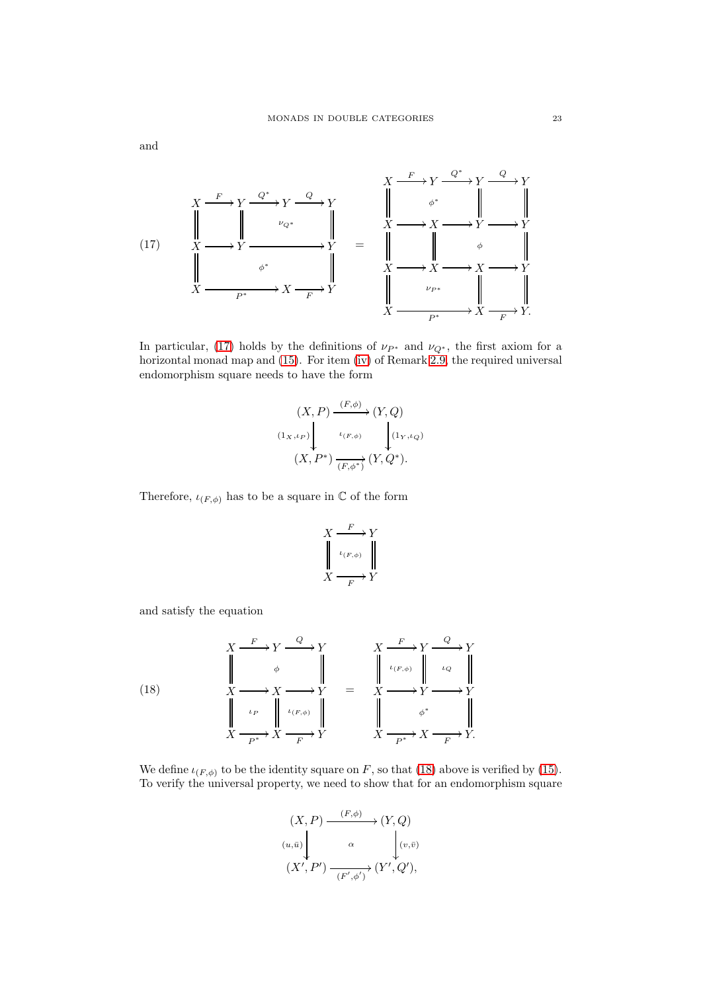<span id="page-22-0"></span>

In particular, [\(17\)](#page-22-0) holds by the definitions of  $\nu_{P^*}$  and  $\nu_{Q^*}$ , the first axiom for a horizontal monad map and [\(15\)](#page-21-0). For item [\(iv\)](#page-13-0) of Remark [2.9,](#page-12-3) the required universal endomorphism square needs to have the form

$$
(X, P) \xrightarrow{\left(F, \phi\right)} (Y, Q)
$$
  

$$
\left(\mathbf{1}_{X}, \iota_{P}\right) \downarrow \iota_{\left(F, \phi\right)} \qquad \bigcup_{\left(1_{Y}, \iota_{Q}\right)} (Y, Q^{*}).
$$
  

$$
(X, P^{*}) \xrightarrow{\iota_{\left(F, \phi^{*}\right)}} (Y, Q^{*}).
$$

Therefore,  $\iota_{(F,\phi)}$  has to be a square in  $\mathbb C$  of the form

$$
\begin{array}{ccc}\nX & \xrightarrow{F} & Y \\
\downarrow^{t(F,\phi)} & \parallel & \\
X & \xrightarrow{F} & Y\n\end{array}
$$

and satisfy the equation

<span id="page-22-1"></span>(18)  
\n
$$
\begin{array}{ccc}\nX & \xrightarrow{F} & Y & \xrightarrow{Q} & Y \\
\downarrow & \phi & \parallel & \downarrow & \downarrow & \downarrow \\
X & \xrightarrow{X} & X & \xrightarrow{Y} & Y & \xrightarrow{X} & \downarrow \\
\downarrow & \downarrow_{P} & \downarrow_{(F,\phi)} & \parallel & \downarrow & \downarrow \\
X & \xrightarrow{P^*} & X & \xrightarrow{F} & Y & \xrightarrow{X} & \xrightarrow{P^*} & X & \xrightarrow{F} & Y.\n\end{array}
$$

We define  $\iota_{(F,\phi)}$  to be the identity square on F, so that [\(18\)](#page-22-1) above is verified by [\(15\)](#page-21-0). To verify the universal property, we need to show that for an endomorphism square

$$
(X, P) \xrightarrow{(F, \phi)} (Y, Q)
$$
  

$$
(u, \bar{u}) \qquad \alpha \qquad (v, \bar{v})
$$
  

$$
(X', P') \xrightarrow{(F', \phi')} (Y', Q'),
$$

and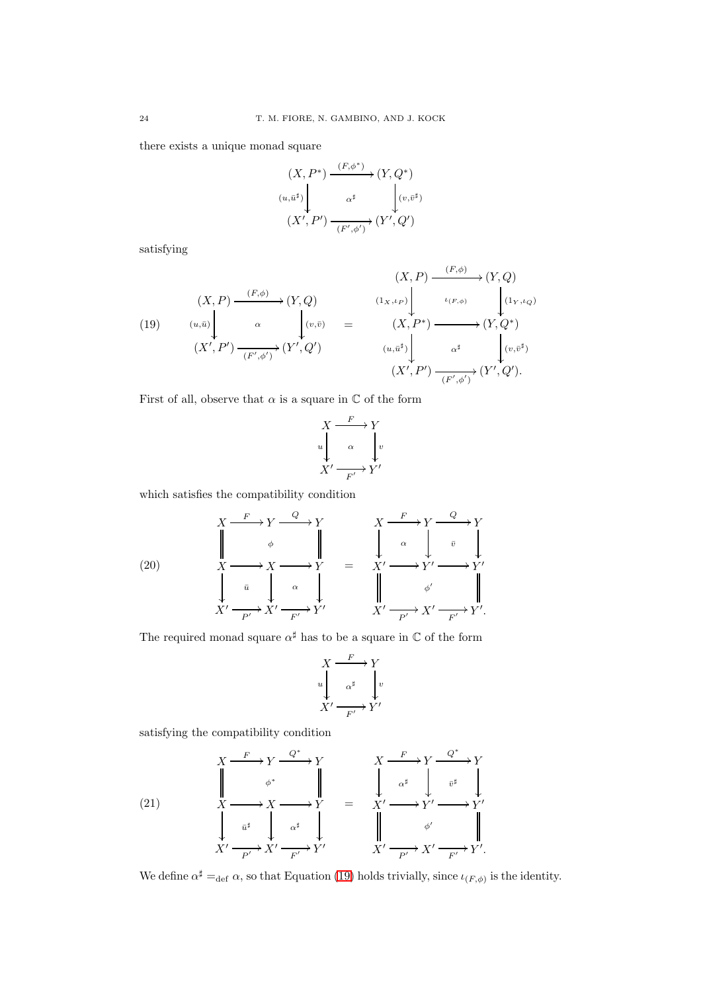there exists a unique monad square

$$
(X, P^*) \xrightarrow{(F, \phi^*)} (Y, Q^*)
$$
  

$$
(u, \bar{u}^{\sharp}) \downarrow \alpha^{\sharp} \qquad \downarrow (v, \bar{v}^{\sharp})
$$
  

$$
(X', P') \xrightarrow{(F', \phi')} (Y', Q')
$$

satisfying

<span id="page-23-0"></span>(19) 
$$
(X, P) \xrightarrow{(F, \phi)} (Y, Q)
$$

$$
(10) 
$$
(u, \bar{u}) \downarrow \alpha
$$

$$
(X', P') \xrightarrow{(u, \bar{u})} (Y', \phi') \times (Y', Q')
$$

$$
(Y', \phi') \xrightarrow{(F', \phi')} (Y', Q')
$$

$$
(u, \bar{u}^{\sharp}) \downarrow \alpha^{\sharp}
$$

$$
(X', P') \xrightarrow{(F', \phi')} (Y', Q').
$$
$$

First of all, observe that  $\alpha$  is a square in  $\mathbb C$  of the form

$$
\begin{array}{ccc}\nX & \xrightarrow{F} & Y \\
\downarrow u & & \downarrow v \\
X' & \xrightarrow{F'} & Y'\n\end{array}
$$

which satisfies the compatibility condition

<span id="page-23-2"></span>(20) 
$$
X \xrightarrow{F} Y \xrightarrow{Q} Y
$$
\n
$$
\downarrow \qquad \downarrow \qquad \downarrow \qquad \qquad X \xrightarrow{F} Y \xrightarrow{Q} Y
$$
\n
$$
\downarrow X' \xrightarrow{a} X \xrightarrow{\alpha} Y
$$
\n
$$
\downarrow \qquad \downarrow \qquad \downarrow \qquad \qquad \downarrow \qquad \qquad \downarrow \qquad \downarrow \qquad \downarrow \qquad \downarrow \qquad \downarrow \qquad \downarrow \qquad \downarrow \qquad \downarrow \qquad \downarrow \qquad \downarrow \qquad \downarrow \qquad \downarrow \qquad \downarrow \qquad \downarrow \qquad \downarrow \qquad \downarrow \qquad \downarrow \qquad \downarrow \qquad \downarrow \qquad \downarrow \qquad \downarrow \qquad \downarrow \qquad \downarrow \qquad \downarrow \qquad \downarrow \qquad \downarrow \qquad \downarrow \qquad \downarrow \qquad \downarrow \qquad \downarrow \qquad \downarrow \qquad \downarrow \qquad \downarrow \qquad \downarrow \qquad \downarrow \qquad \downarrow \qquad \downarrow \qquad \downarrow \qquad \downarrow \qquad \downarrow \qquad \downarrow \qquad \downarrow \qquad \downarrow \qquad \downarrow \qquad \downarrow \qquad \downarrow \qquad \downarrow \qquad \downarrow \qquad \downarrow \qquad \downarrow \qquad \downarrow \qquad \downarrow \qquad \downarrow \qquad \downarrow \qquad \downarrow \qquad \downarrow \qquad \downarrow \qquad \downarrow \qquad \downarrow \qquad \downarrow \qquad \downarrow \qquad \downarrow \qquad \downarrow \qquad \downarrow \qquad \downarrow \qquad \downarrow \qquad \downarrow \qquad \downarrow \qquad \downarrow \qquad \downarrow \qquad \downarrow \qquad \downarrow \qquad \downarrow \qquad \downarrow \qquad \downarrow \qquad \downarrow \qquad \downarrow \qquad \downarrow \qquad \downarrow \qquad \downarrow \qquad \downarrow \qquad \downarrow \qquad \downarrow \qquad \downarrow \qquad \downarrow \qquad \downarrow \qquad \downarrow \qquad \downarrow \qquad \downarrow \qquad \downarrow \qquad \downarrow \qquad \downarrow \qquad \downarrow \qquad \downarrow \qquad \downarrow \qquad \downarrow \qquad \downarrow \qquad \downarrow \qquad \downarrow \qquad \downarrow \qquad \downarrow \qquad \downarrow \qquad \downarrow \qquad \downarrow \qquad \downarrow \
$$

The required monad square  $\alpha^{\sharp}$  has to be a square in  $\mathbb C$  of the form

$$
X \xrightarrow{F} Y
$$
  
\n
$$
u \downarrow \alpha^{\sharp} \downarrow v
$$
  
\n
$$
X' \xrightarrow{F'} Y'
$$

satisfying the compatibility condition

<span id="page-23-1"></span>(21) 
$$
X \xrightarrow{F} Y \xrightarrow{\mathbb{Q}^*} Y
$$
\n
$$
\downarrow \qquad \downarrow \qquad \downarrow \qquad \downarrow \qquad \downarrow \qquad \downarrow \qquad \downarrow \qquad \downarrow \qquad \downarrow \qquad \downarrow \qquad \downarrow \qquad \downarrow \qquad \downarrow \qquad \downarrow \qquad \downarrow \qquad \downarrow \qquad \downarrow \qquad \downarrow \qquad \downarrow \qquad \downarrow \qquad \downarrow \qquad \downarrow \qquad \downarrow \qquad \downarrow \qquad \downarrow \qquad \downarrow \qquad \downarrow \qquad \downarrow \qquad \downarrow \qquad \downarrow \qquad \downarrow \qquad \downarrow \qquad \downarrow \qquad \downarrow \qquad \downarrow \qquad \downarrow \qquad \downarrow \qquad \downarrow \qquad \downarrow \qquad \downarrow \qquad \downarrow \qquad \downarrow \qquad \downarrow \qquad \downarrow \qquad \downarrow \qquad \downarrow \qquad \downarrow \qquad \downarrow \qquad \downarrow \qquad \downarrow \qquad \downarrow \qquad \downarrow \qquad \downarrow \qquad \downarrow \qquad \downarrow \qquad \downarrow \qquad \downarrow \qquad \downarrow \qquad \downarrow \qquad \downarrow \qquad \downarrow \qquad \downarrow \qquad \downarrow \qquad \downarrow \qquad \downarrow \qquad \downarrow \qquad \downarrow \qquad \downarrow \qquad \downarrow \qquad \downarrow \qquad \downarrow \qquad \downarrow \qquad \downarrow \qquad \downarrow \qquad \downarrow \qquad \downarrow \qquad \downarrow \qquad \downarrow \qquad \downarrow \qquad \downarrow \qquad \downarrow \qquad \downarrow \qquad \downarrow \qquad \downarrow \qquad \downarrow \qquad \downarrow \qquad \downarrow \qquad \downarrow \qquad \downarrow \qquad \downarrow \qquad \downarrow \qquad \downarrow \qquad \downarrow \qquad \downarrow \qquad \downarrow \qquad \downarrow \qquad \downarrow \qquad \downarrow \qquad \downarrow \qquad \downarrow \qquad \downarrow \qquad \downarrow \qquad \downarrow \qquad \downarrow \qquad \downarrow \qquad \downarrow \qquad \downarrow \qquad \downarrow \qquad \downarrow \qquad \downarrow \qquad \downarrow \qquad \downarrow \qquad \downarrow \qquad \downarrow \qquad \downarrow \qquad \downarrow \qquad \downarrow \qquad \downarrow \qquad \downarrow \qquad \downarrow \qquad \downarrow \q
$$

We define  $\alpha^{\sharp} =_{\text{def}} \alpha$ , so that Equation [\(19\)](#page-23-0) holds trivially, since  $\iota_{(F,\phi)}$  is the identity.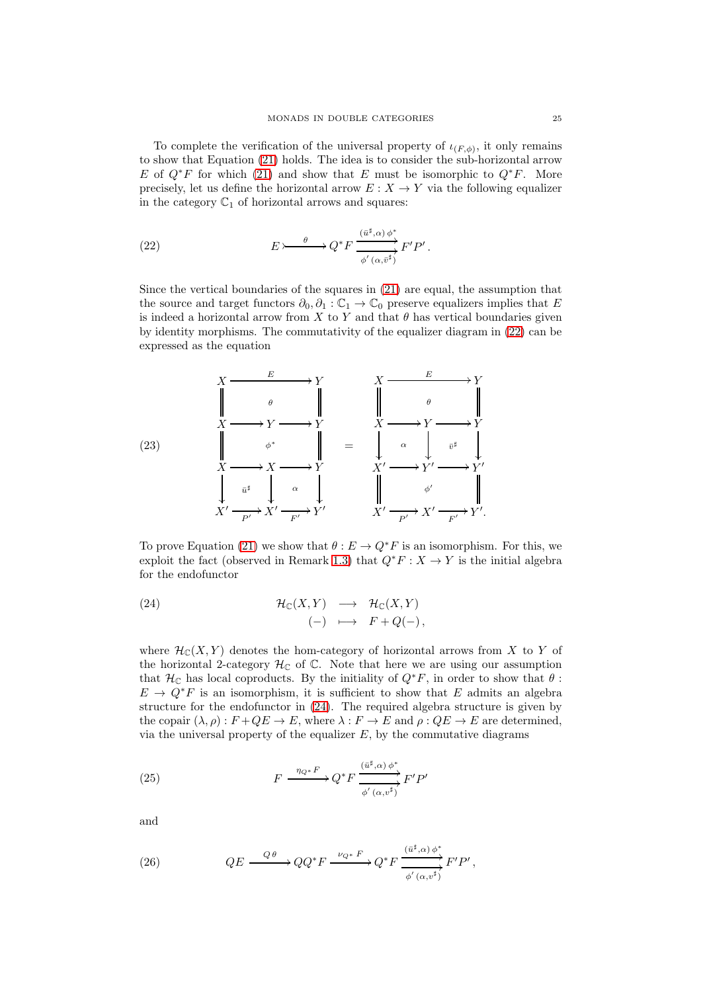To complete the verification of the universal property of  $\iota_{(F,\phi)}$ , it only remains to show that Equation [\(21\)](#page-23-1) holds. The idea is to consider the sub-horizontal arrow E of  $Q^*F$  for which [\(21\)](#page-23-1) and show that E must be isomorphic to  $Q^*F$ . More precisely, let us define the horizontal arrow  $E: X \to Y$  via the following equalizer in the category  $\mathbb{C}_1$  of horizontal arrows and squares:

<span id="page-24-0"></span>(22) 
$$
E \rightarrow \longrightarrow Q^* F \xrightarrow{\overbrace{(u^\sharp,\alpha)\phi^*}_{\phi'(\alpha,\overline{v}^\sharp)}} F'P'.
$$

Since the vertical boundaries of the squares in [\(21\)](#page-23-1) are equal, the assumption that the source and target functors  $\partial_0$ ,  $\partial_1$  :  $\mathbb{C}_1 \to \mathbb{C}_0$  preserve equalizers implies that E is indeed a horizontal arrow from  $X$  to  $Y$  and that  $\theta$  has vertical boundaries given by identity morphisms. The commutativity of the equalizer diagram in [\(22\)](#page-24-0) can be expressed as the equation

<span id="page-24-4"></span>

To prove Equation [\(21\)](#page-23-1) we show that  $\theta : E \to Q^*F$  is an isomorphism. For this, we exploit the fact (observed in Remark [1.3\)](#page-4-0) that  $Q^*F : X \to Y$  is the initial algebra for the endofunctor

<span id="page-24-1"></span>(24) 
$$
\mathcal{H}_{\mathbb{C}}(X,Y) \longrightarrow \mathcal{H}_{\mathbb{C}}(X,Y) \n(-) \longrightarrow F + Q(-),
$$

where  $\mathcal{H}_{\mathbb{C}}(X, Y)$  denotes the hom-category of horizontal arrows from X to Y of the horizontal 2-category  $\mathcal{H}_{\mathbb{C}}$  of  $\mathbb{C}$ . Note that here we are using our assumption that  $\mathcal{H}_{\mathbb{C}}$  has local coproducts. By the initiality of  $Q^*F$ , in order to show that  $\theta$ :  $E \to Q^*F$  is an isomorphism, it is sufficient to show that E admits an algebra structure for the endofunctor in [\(24\)](#page-24-1). The required algebra structure is given by the copair  $(\lambda, \rho): F + QE \to E$ , where  $\lambda: F \to E$  and  $\rho: QE \to E$  are determined, via the universal property of the equalizer  $E$ , by the commutative diagrams

<span id="page-24-2"></span>(25) 
$$
F \xrightarrow{\eta_{Q^*} F} Q^* F \xrightarrow{\overbrace{w^{\sharp}, \alpha} \phi^*}_{\phi'(\alpha, v^{\sharp})} F' P'
$$

and

<span id="page-24-3"></span>(26) 
$$
QE \xrightarrow{Q\theta} QQ^*F \xrightarrow{\nu_{Q^*} F} Q^*F \xrightarrow{\overbrace{(\overline{u}^{\sharp}, \alpha) \phi^*}} F'P',
$$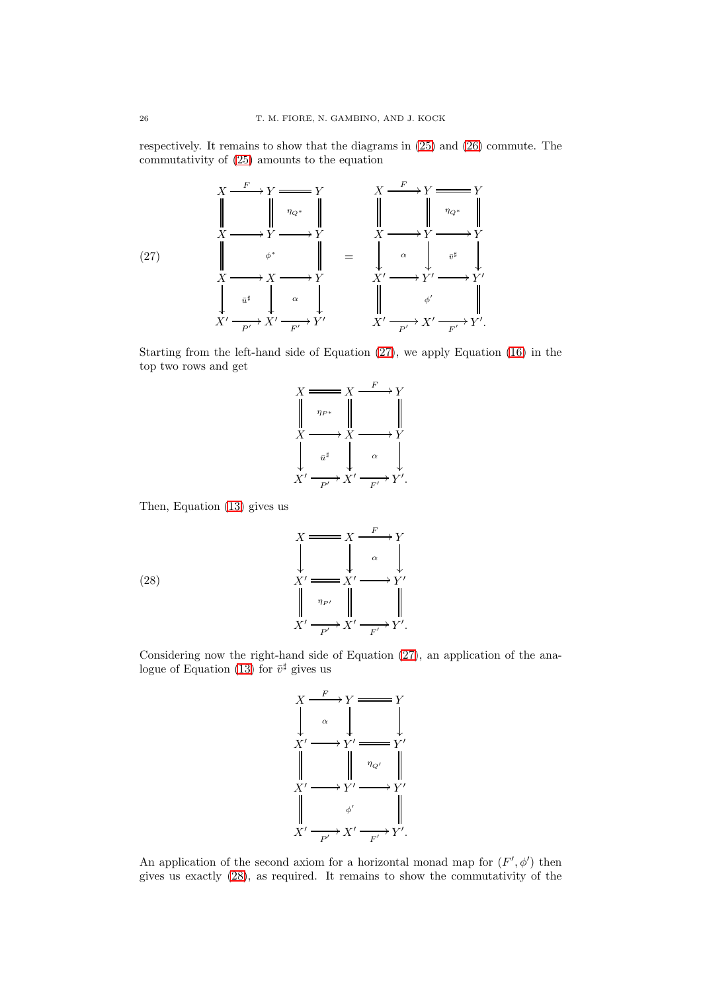respectively. It remains to show that the diagrams in [\(25\)](#page-24-2) and [\(26\)](#page-24-3) commute. The commutativity of [\(25\)](#page-24-2) amounts to the equation

<span id="page-25-0"></span>

Starting from the left-hand side of Equation [\(27\)](#page-25-0), we apply Equation [\(16\)](#page-21-1) in the top two rows and get



Then, Equation [\(13\)](#page-20-0) gives us

(28)  

$$
\begin{array}{ccc}\nX & \xrightarrow{\hspace{0.5cm}} & X \xrightarrow{\hspace{0.5cm}} & Y \\
\downarrow & & \downarrow & \alpha \\
X' & \xrightarrow{\hspace{0.5cm}} & X' \xrightarrow{\hspace{0.5cm}} & Y' \\
X' & \xrightarrow{\hspace{0.5cm}} & Y \xrightarrow{\hspace{0.5cm}} & Y' \\
X' & \xrightarrow{\hspace{0.5cm}} & Y' \xrightarrow{\hspace{0.5cm}} & Y'.\n\end{array}
$$

Considering now the right-hand side of Equation [\(27\)](#page-25-0), an application of the ana-logue of Equation [\(13\)](#page-20-0) for  $\bar{v}^{\sharp}$  gives us

<span id="page-25-1"></span>

An application of the second axiom for a horizontal monad map for  $(F', \phi')$  then gives us exactly [\(28\)](#page-25-1), as required. It remains to show the commutativity of the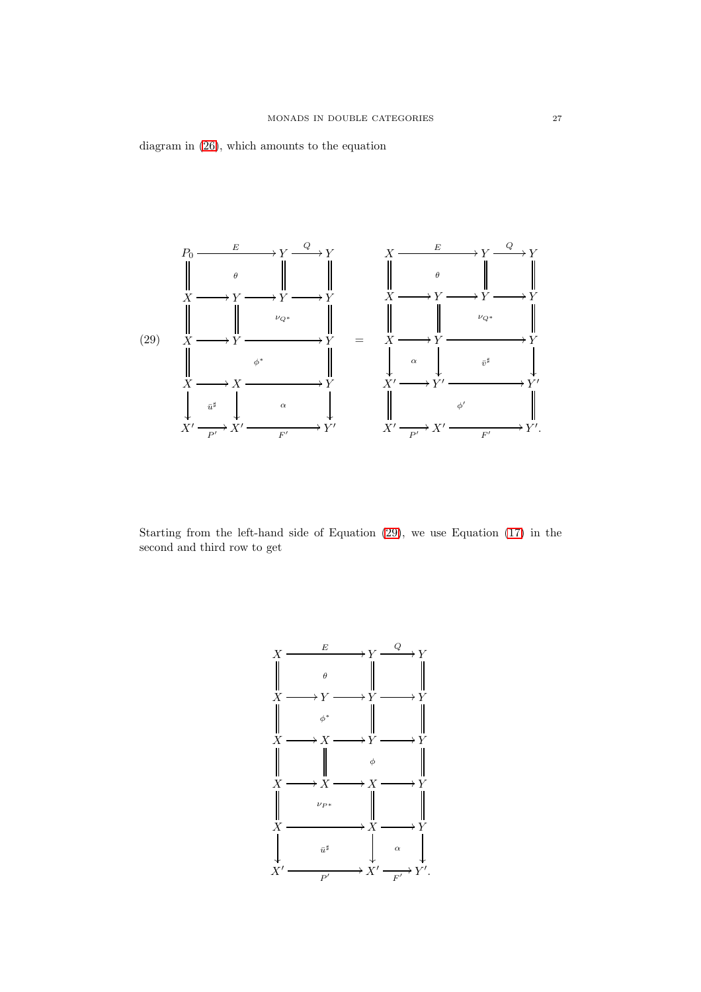diagram in [\(26\)](#page-24-3), which amounts to the equation

<span id="page-26-0"></span>

Starting from the left-hand side of Equation [\(29\)](#page-26-0), we use Equation [\(17\)](#page-22-0) in the second and third row to get

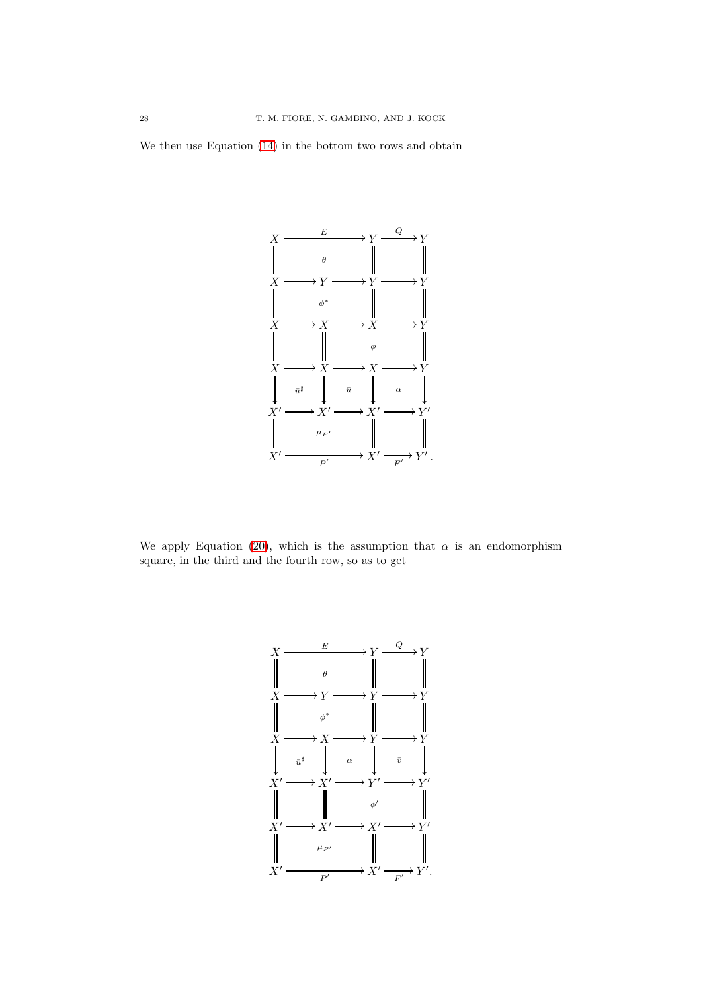We then use Equation [\(14\)](#page-21-2) in the bottom two rows and obtain



We apply Equation [\(20\)](#page-23-2), which is the assumption that  $\alpha$  is an endomorphism square, in the third and the fourth row, so as to get

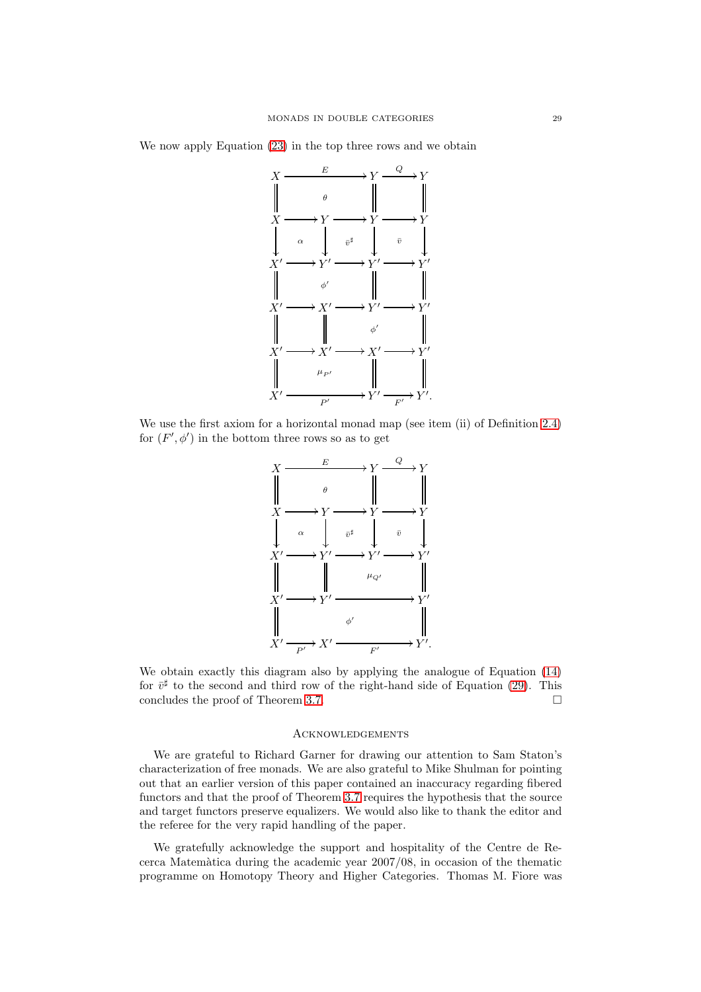We now apply Equation [\(23\)](#page-24-4) in the top three rows and we obtain



We use the first axiom for a horizontal monad map (see item (ii) of Definition [2.4\)](#page-10-0) for  $(F', \phi')$  in the bottom three rows so as to get



We obtain exactly this diagram also by applying the analogue of Equation [\(14\)](#page-21-2) for  $\bar{v}^{\sharp}$  to the second and third row of the right-hand side of Equation [\(29\)](#page-26-0). This concludes the proof of Theorem [3.7.](#page-19-0)

#### **ACKNOWLEDGEMENTS**

We are grateful to Richard Garner for drawing our attention to Sam Staton's characterization of free monads. We are also grateful to Mike Shulman for pointing out that an earlier version of this paper contained an inaccuracy regarding fibered functors and that the proof of Theorem [3.7](#page-19-0) requires the hypothesis that the source and target functors preserve equalizers. We would also like to thank the editor and the referee for the very rapid handling of the paper.

We gratefully acknowledge the support and hospitality of the Centre de Recerca Matem`atica during the academic year 2007/08, in occasion of the thematic programme on Homotopy Theory and Higher Categories. Thomas M. Fiore was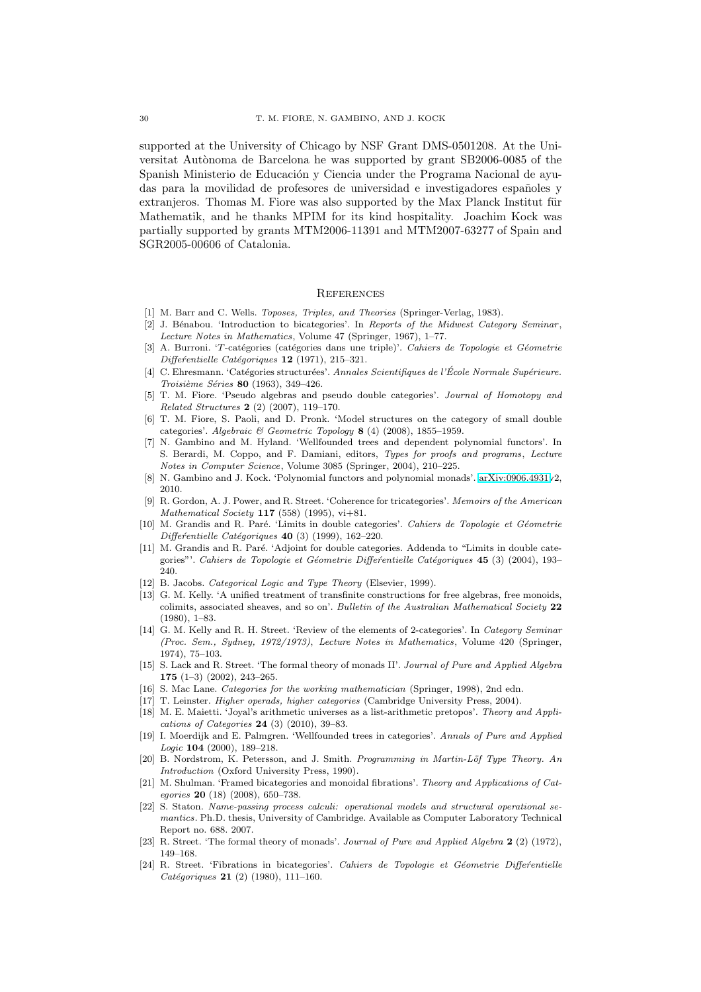supported at the University of Chicago by NSF Grant DMS-0501208. At the Universitat Autònoma de Barcelona he was supported by grant SB2006-0085 of the Spanish Ministerio de Educación y Ciencia under the Programa Nacional de ayudas para la movilidad de profesores de universidad e investigadores españoles y extranieros. Thomas M. Fiore was also supported by the Max Planck Institut für Mathematik, and he thanks MPIM for its kind hospitality. Joachim Kock was partially supported by grants MTM2006-11391 and MTM2007-63277 of Spain and SGR2005-00606 of Catalonia.

### **REFERENCES**

- <span id="page-29-4"></span><span id="page-29-2"></span>[1] M. Barr and C. Wells. Toposes, Triples, and Theories (Springer-Verlag, 1983).
- [2] J. Bénabou. 'Introduction to bicategories'. In Reports of the Midwest Category Seminar, Lecture Notes in Mathematics, Volume 47 (Springer, 1967), 1–77.
- <span id="page-29-15"></span>[3] A. Burroni. 'T-catégories (catégories dans une triple)'. Cahiers de Topologie et Géometrie Differéntielle Catégoriques  $12$  (1971), 215-321.
- <span id="page-29-17"></span>[4] C. Ehresmann. 'Catégories structurées'. Annales Scientifiques de l'École Normale Supérieure. Troisième Séries 80 (1963), 349-426.
- <span id="page-29-22"></span>[5] T. M. Fiore. 'Pseudo algebras and pseudo double categories'. Journal of Homotopy and Related Structures 2 (2) (2007), 119–170.
- <span id="page-29-18"></span>[6] T. M. Fiore, S. Paoli, and D. Pronk. 'Model structures on the category of small double categories'. Algebraic & Geometric Topology  $8$  (4) (2008), 1855–1959.
- <span id="page-29-9"></span>[7] N. Gambino and M. Hyland. 'Wellfounded trees and dependent polynomial functors'. In S. Berardi, M. Coppo, and F. Damiani, editors, Types for proofs and programs, Lecture Notes in Computer Science, Volume 3085 (Springer, 2004), 210–225.
- <span id="page-29-14"></span><span id="page-29-10"></span>[8] N. Gambino and J. Kock. 'Polynomial functors and polynomial monads'. [arXiv:0906.4931v](http://arxiv.org/abs/0906.4931)2, 2010.
- [9] R. Gordon, A. J. Power, and R. Street. 'Coherence for tricategories'. Memoirs of the American Mathematical Society  $117$  (558) (1995), vi $+81$ .
- <span id="page-29-19"></span>[10] M. Grandis and R. Paré. 'Limits in double categories'. Cahiers de Topologie et Géometrie  $Differentielle Catégoriques$  40 (3) (1999), 162-220.
- <span id="page-29-20"></span>[11] M. Grandis and R. Paré. 'Adjoint for double categories. Addenda to "Limits in double categories"'. Cahiers de Topologie et Géometrie Differentielle Catégoriques 45 (3) (2004), 193– 240.
- <span id="page-29-23"></span><span id="page-29-12"></span>[12] B. Jacobs. Categorical Logic and Type Theory (Elsevier, 1999).
- [13] G. M. Kelly. 'A unified treatment of transfinite constructions for free algebras, free monoids, colimits, associated sheaves, and so on'. Bulletin of the Australian Mathematical Society 22 (1980), 1–83.
- <span id="page-29-21"></span>[14] G. M. Kelly and R. H. Street. 'Review of the elements of 2-categories'. In Category Seminar (Proc. Sem., Sydney, 1972/1973), Lecture Notes in Mathematics, Volume 420 (Springer, 1974), 75–103.
- <span id="page-29-1"></span>[15] S. Lack and R. Street. 'The formal theory of monads II'. Journal of Pure and Applied Algebra 175 (1–3) (2002), 243–265.
- <span id="page-29-11"></span><span id="page-29-3"></span>[16] S. Mac Lane. Categories for the working mathematician (Springer, 1998), 2nd edn.
- <span id="page-29-7"></span>[17] T. Leinster. Higher operads, higher categories (Cambridge University Press, 2004).
- [18] M. E. Maietti. 'Joyal's arithmetic universes as a list-arithmetic pretopos'. Theory and Applications of Categories  $24$  (3) (2010), 39-83.
- <span id="page-29-8"></span>[19] I. Moerdijk and E. Palmgren. 'Wellfounded trees in categories'. Annals of Pure and Applied Logic 104 (2000), 189–218.
- <span id="page-29-16"></span>[20] B. Nordstrom, K. Petersson, and J. Smith. Programming in Martin-Löf Type Theory. An Introduction (Oxford University Press, 1990).
- <span id="page-29-5"></span>[21] M. Shulman. 'Framed bicategories and monoidal fibrations'. Theory and Applications of Categories 20 (18) (2008), 650–738.
- <span id="page-29-6"></span>[22] S. Staton. Name-passing process calculi: operational models and structural operational semantics. Ph.D. thesis, University of Cambridge. Available as Computer Laboratory Technical Report no. 688. 2007.
- <span id="page-29-0"></span>[23] R. Street. 'The formal theory of monads'. Journal of Pure and Applied Algebra 2 (2) (1972), 149–168.
- <span id="page-29-13"></span>[24] R. Street. 'Fibrations in bicategories'. Cahiers de Topologie et Géometrie Differentielle  $Catégoriaues$  21 (2) (1980), 111–160.